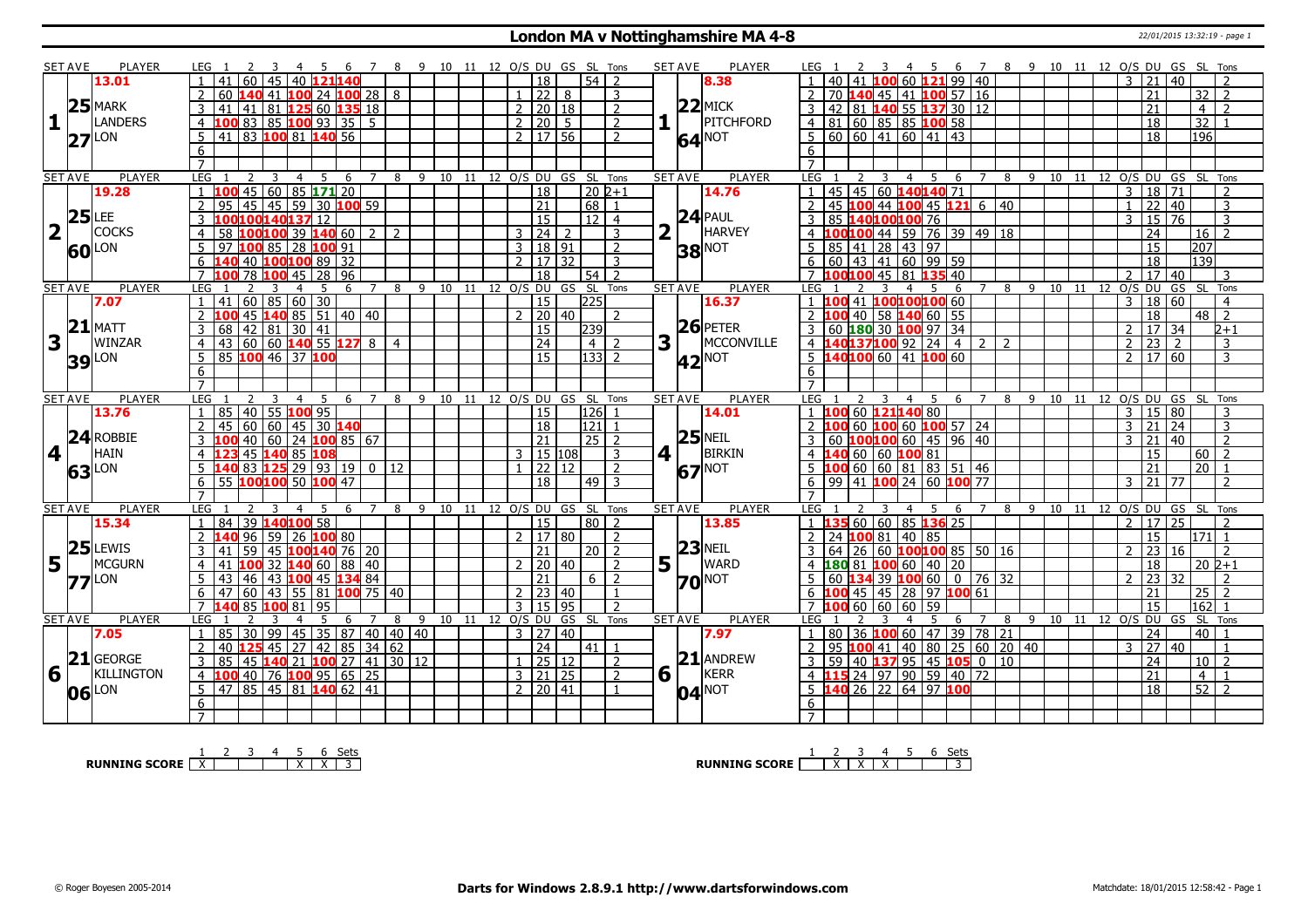#### **London MA v Nottinghamshire MA 4-8** 22/01/2015 13:32:19 - page 1

|                         | <b>SET AVE</b> | <b>PLAYER</b>       | LEG 1                                                    | -5<br>- 6                                   | -8                               |    |                                  |                   | 9 10 11 12 O/S DU GS SL Tons         |                | PLAYER<br><b>SET AVE</b>                        | 6 7 8 9 10 11 12 O/S DU GS SL Tons<br>LEG 1<br>4 5                                                                         |
|-------------------------|----------------|---------------------|----------------------------------------------------------|---------------------------------------------|----------------------------------|----|----------------------------------|-------------------|--------------------------------------|----------------|-------------------------------------------------|----------------------------------------------------------------------------------------------------------------------------|
|                         |                | 13.01               | 60                                                       | 40 121140                                   |                                  |    | 18                               |                   | 54 <sup>1</sup><br>$\overline{2}$    |                | 8.38                                            | 60121<br>99 40<br>21<br>40<br>3                                                                                            |
|                         |                |                     | 60                                                       |                                             |                                  |    |                                  | 22 8              | 3                                    |                |                                                 | <b>40 45 41 100 57 16</b><br>21<br>32<br>70<br>$\overline{2}$                                                              |
|                         |                | $25$ MARK           | 41<br>41<br>3                                            | 81 125 60 135 18                            |                                  |    | 2                                | $\frac{1}{20}$ 18 | 2                                    |                | $22$ MICK                                       | 42 81 140 55 137 30 12<br>21<br>$\overline{4}$<br>$\overline{2}$                                                           |
| $\mathbf{1}$            | l I            | <b>LANDERS</b>      |                                                          |                                             |                                  |    |                                  |                   | $\overline{2}$                       |                | PITCHFORD                                       | $\overline{32}$                                                                                                            |
|                         |                |                     | 100 83 85 100 93 35 5<br>$\overline{4}$                  |                                             |                                  |    | 2   20   5                       |                   |                                      |                |                                                 | $4 \ 81 \ 60 \ 85 \ 85 \ 100 \ 58$<br>18                                                                                   |
|                         |                | $27$ <sup>LON</sup> | 83 100 81 140 56<br>5<br>41                              |                                             |                                  |    | $2 \mid 17 \mid 56$              |                   | $\overline{2}$                       |                | 64 <sup>NOT</sup>                               | 196<br>$\overline{18}$<br>.5                                                                                               |
|                         |                |                     | 6                                                        |                                             |                                  |    |                                  |                   |                                      |                |                                                 | 6                                                                                                                          |
|                         |                |                     | $\overline{7}$                                           |                                             |                                  |    |                                  |                   |                                      |                |                                                 | $\overline{7}$                                                                                                             |
|                         | <b>SET AVE</b> | <b>PLAYER</b>       | LEG<br>$\overline{4}$<br>2<br>3                          | 5<br>6                                      | 7 8 9 10 11 12 O/S DU GS SL Tons |    |                                  |                   |                                      |                | <b>PLAYER</b><br><b>SET AVE</b>                 | LEG 1<br>8 9 10 11 12 0/S DU GS SL Tons<br>$\overline{\mathbf{3}}$<br>$\overline{4}$<br>$5^{\circ}$<br>6<br>$\overline{7}$ |
|                         |                | 19.28               | 45 60 85 171 20                                          |                                             |                                  |    | $\overline{18}$                  |                   | $202+1$                              |                | 14.76                                           | 45 45 60 140 140 71<br>$18$ 71<br>$\overline{3}$<br>$\overline{2}$                                                         |
|                         |                |                     | $\overline{2}$<br>45<br>95                               | 45   59   30   <mark>100</mark> 59          |                                  |    | $\overline{21}$                  |                   | 68 1                                 |                |                                                 | 45 100 44 100 45 121 6 40<br>22   40<br>$\overline{3}$<br>$\mathbf{1}$                                                     |
|                         |                | $25$ LEE            | LOO140137 12                                             |                                             |                                  |    | 15                               |                   | $\overline{12}$ 4                    |                | $24$ PAUL                                       | $\overline{76}$<br>3<br>85<br>40100100 76<br>3<br>15                                                                       |
| $\overline{\mathbf{2}}$ |                | <b>COCKS</b>        | 58                                                       | $100$ 100 39 140 60 2                       | 2                                |    | 24 <br>3                         |                   | 3                                    |                | HARVEY                                          | 44 59 76 39 49 18<br>24<br>$\overline{z}$<br>00100<br>16                                                                   |
|                         |                | <b>60</b> LON       | 100 85 28 100 91<br>97                                   |                                             |                                  |    | 3   18   91                      |                   | $\overline{2}$                       |                | <b>38 NOT</b>                                   | 85 41 28 43 97<br>207<br>15<br>5.                                                                                          |
|                         |                |                     | 40 100 100 89 32<br>6                                    |                                             |                                  |    | $\overline{2}$                   | 17   32           | 3                                    |                |                                                 | $60$ 43 41 60 99 59<br>18<br> 139 <br>6                                                                                    |
|                         |                |                     | 78 100 45 28 96<br>$\overline{7}$                        |                                             |                                  |    | <sup>18</sup>                    |                   | $54$   2                             |                |                                                 | 7 <b>100100</b> 45 81 <b>135</b> 40<br>17<br>$\mathcal{L}$<br>40<br>्र                                                     |
|                         | <b>SET AVE</b> | <b>PLAYER</b>       | LEG                                                      | 6<br>7                                      | 9<br>8                           | 10 |                                  |                   | 11 12 0/S DU GS SL Tons              |                | <b>SET AVE</b><br><b>PLAYER</b>                 | LEG<br>8<br>9 10 11<br>12 O/S DU<br>GS SL<br>6<br>Tons<br>-5                                                               |
|                         |                | 7.07                | $60$ 85 60 30<br>41                                      |                                             |                                  |    | $\overline{15}$                  |                   | 225                                  |                | 16.37                                           | $\overline{18}$<br>41 100100100 60<br>$\mathcal{E}$<br>$\overline{60}$<br>1,100<br>$\overline{4}$                          |
|                         |                |                     | $\overline{2}$                                           | 45 140 85 51 40 40                          |                                  |    | $\mathcal{P}$                    | 20 40             | $\overline{z}$                       |                |                                                 | 40 58 140 60 55<br>18<br>$48$   2<br>2                                                                                     |
|                         |                | $21$ MATT           | $142$ 81 30 41<br>3<br>68                                |                                             |                                  |    | <sup>15</sup>                    |                   | $\boxed{239}$                        |                | $26$ PETER                                      | $\sqrt{17}$ 34<br>3   60   180   30   100   97   34<br>$\mathcal{P}$<br>$2 + 1$                                            |
| 3                       |                | <b>WINZAR</b>       | $\overline{4}$<br>43                                     |                                             |                                  |    | $\overline{24}$                  |                   | 4 2                                  | 3 <sup>1</sup> | MCCONVILLE                                      | 40137100 92 24 4 2 2<br>$\overline{23}$<br>$\overline{2}$<br>$\overline{2}$<br>$4 \vert 1$                                 |
|                         |                |                     |                                                          |                                             |                                  |    | 15                               |                   |                                      |                |                                                 | 3<br>5 140100 60 41 100 60<br>2 <sup>1</sup>                                                                               |
|                         |                | <b>39</b> LON       | 85 100 46 37 100<br>5                                    |                                             |                                  |    |                                  |                   | $133$ 2                              |                | <b>42</b> <sup>NOT</sup>                        | 17 60<br>3                                                                                                                 |
|                         |                |                     | 6                                                        |                                             |                                  |    |                                  |                   |                                      |                |                                                 | 6                                                                                                                          |
|                         |                |                     | $\overline{7}$                                           |                                             |                                  |    |                                  |                   |                                      |                | <b>PLAYER</b>                                   |                                                                                                                            |
|                         | <b>SET AVE</b> | <b>PLAYER</b>       | LEG<br>85                                                | 5<br>-6                                     | 8                                |    | 15                               |                   | 9 10 11 12 0/S DU GS SL Tons<br> 126 |                | <b>SET AVE</b><br>14.01                         | <b>LEG</b><br>9<br>10 11 12 0/S DU GS SL<br>$\overline{4}$<br>- 5<br>8<br>Tons<br>6<br>60 121140 80<br>15 80<br>3<br>100   |
|                         |                | 13.76               | 40 <br>55 100 95                                         |                                             |                                  |    |                                  |                   |                                      |                |                                                 |                                                                                                                            |
|                         |                |                     |                                                          |                                             |                                  |    |                                  |                   |                                      |                |                                                 | 3                                                                                                                          |
|                         |                |                     | $\overline{2}$<br>60<br>45                               | 60 45 30 140                                |                                  |    | 18                               |                   | 121                                  |                |                                                 | $\overline{3}$<br>60 100 60 100 57 24<br>$\mathsf{3}$<br>21<br>24                                                          |
|                         |                | $24$ ROBBIE         | 40<br>3                                                  | 60   24   <mark>100</mark> 85   67          |                                  |    | $\sqrt{21}$                      |                   | $\sqrt{25}$                          |                | $25$ NEIL                                       | $100100$ 60 45 96 40<br>$\overline{2}$<br>60<br>$\mathcal{F}$<br>21<br>40                                                  |
|                         | 4 <sup>1</sup> | <b>HAIN</b>         | 45 140 85 108<br>$\overline{4}$                          |                                             |                                  |    | 3   15   108                     |                   | $\vert$ 3                            |                | $4$   $\overline{\phantom{0}}$<br><b>BIRKIN</b> | 60 60 100 81<br>$\overline{15}$<br>60<br>$\overline{z}$<br>$4 \vert 1$                                                     |
|                         |                |                     | <b>140</b> 83 <b>125</b> 29 93 19 0 12<br>5 <sup>7</sup> |                                             |                                  |    | $\overline{22}$                  | l 12              | $\overline{2}$                       |                |                                                 | 60 60 81 83 51 46<br>21<br>20                                                                                              |
|                         |                | $63$ <sup>LON</sup> | $6$   55 100100 50 100 47                                |                                             |                                  |    | 18                               |                   | $49$ 3                               |                | <b>67</b> NOT                                   | $6$   99   41 <b>100</b> 24   60 <b>100</b> 77<br>$21 \overline{77}$<br>$\overline{3}$<br>$\mathcal{L}$                    |
|                         |                |                     | $\overline{7}$                                           |                                             |                                  |    |                                  |                   |                                      |                |                                                 | $\overline{7}$                                                                                                             |
|                         | <b>SET AVE</b> | PLAYER              | LEG<br>3                                                 | -5<br>$\overline{7}$<br>6                   | 8                                |    |                                  |                   | 9 10 11 12 O/S DU GS SL Tons         |                | <b>PLAYER</b><br><b>SET AVE</b>                 | LEG <sub>1</sub><br>10 11 12 0/S DU GS SL Tons<br>- 5<br>- 8<br>-9<br>$\overline{4}$<br>- 6<br>$\overline{7}$              |
|                         |                | 15.34               | 39 140 100 58<br>84                                      |                                             |                                  |    | $ 15\rangle$                     |                   | 80 2                                 |                | 13.85                                           | 60   60   85   136   25<br>$17 \mid 25$<br>$\overline{2}$<br>$\overline{\phantom{0}}$                                      |
|                         |                |                     | $\mathcal{P}$<br>96<br>59                                | 26 100 80                                   |                                  |    | 2   17   80                      |                   | $\overline{z}$                       |                |                                                 | 24 100 81 40 85<br>15<br>$171$ 1                                                                                           |
|                         |                | $25$ LEWIS          | 59<br>45<br>41                                           | 100 140 76 20                               |                                  |    | 21                               |                   | $20$   2                             |                | $23$ NEIL                                       | 60 100100 85   50   16<br>23<br>$\overline{2}$<br>64 I<br>26<br>2<br>16                                                    |
|                         | H.             | <b>MCGURN</b>       | 41<br>4                                                  |                                             |                                  |    |                                  |                   | 2                                    |                | WARD                                            | 18<br>$20 \; \text{2+1}$<br>20                                                                                             |
| 5                       |                |                     | 43                                                       | 32 $140$ 60 88 40                           |                                  |    | $\overline{21}$                  | 20   40           | $6 \mid 2$                           | 5              |                                                 | 10060140<br>23 32<br>$\mathcal{P}$<br>60<br>$\mathcal{P}$                                                                  |
|                         |                | $77$ <sup>LON</sup> | l 46 l                                                   | 43 100 45 134 84                            |                                  |    |                                  |                   | $\overline{1}$                       |                | <b>70</b> <sup>NOT</sup>                        | $134$ 39 $100$ 60   0   76   32<br>$\overline{z}$                                                                          |
|                         |                |                     | 6<br>60<br>43<br>47                                      | 55 81 <b>100</b> 75 40                      |                                  |    | $2 \mid 23 \mid 40$              |                   |                                      |                |                                                 | $45 \mid 45 \mid 28$<br>97 100 61<br>21<br>25<br><b>7</b> 100                                                              |
|                         |                |                     | $\overline{7}$<br>85<br>100 81                           | 95<br>.5<br>$7^{\circ}$                     |                                  |    | $\overline{\mathbf{3}}$<br>l 15. | l 95.             | $\overline{2}$                       |                |                                                 | 59<br>$\overline{15}$<br> 162 1<br>$60$ 60<br>60<br>.5<br>$\overline{7}$                                                   |
|                         | <b>SET AVE</b> | PLAYER              | LEG                                                      | -6                                          | 8                                |    | 9 10 11 12 O/S DU                |                   | GS SL Tons                           |                | <b>SET AVE</b><br><b>PLAYER</b>                 | 8 9 10 11 12 0/S DU GS SL Tons<br>LEG <sub>1</sub><br>6                                                                    |
|                         |                | 7.05                | $\overline{85}$<br>30<br>99<br>$\mathbf{1}$              | 45 35 87 40 40 40                           |                                  |    | 3   27   40                      |                   |                                      |                | 7.97                                            | 80 36 100<br>60<br>47 39 78 21<br>$\overline{24}$<br>40                                                                    |
|                         |                |                     | 40 125 45 27 42 85 34 62<br>2                            |                                             |                                  |    | $\overline{24}$                  |                   | 41   1                               |                |                                                 | $\overline{95}$<br>100 41 40 80<br>25 60 20 40<br>$\overline{27}$<br>40<br>3<br>2<br>$\overline{1}$                        |
|                         |                | $21$ GEORGE         | 3<br>85                                                  | $\frac{145}{140}$ 21 <b>100</b> 27 41 30 12 |                                  |    | $1 \mid 25 \mid 12$              |                   | $\overline{2}$                       |                | $21$ ANDREW                                     | $59   40$ <b>137</b> 95 45 <b>105</b> 0 10<br>$\overline{24}$<br>$10$   2<br>3                                             |
| 6                       |                | KILLINGTON          | $\overline{4}$                                           | 40 76 100 95 65 25                          |                                  |    | 3   21   25                      |                   | $\overline{2}$                       |                | $6\sqrt{ }$<br>KERR                             | 24 97 90 59 40 72<br>$\overline{21}$<br>$\overline{4}$<br>$\overline{4}$<br>$\overline{1}$                                 |
|                         |                | 06 LON              | 47 85 45 81 140 62 41<br>5                               |                                             |                                  |    | 2   20   41                      |                   | $\overline{1}$                       |                |                                                 | 5 140 26 22 64 97 100<br>$52$   2<br>$\overline{18}$                                                                       |
|                         |                |                     | 6<br>$\overline{7}$                                      |                                             |                                  |    |                                  |                   |                                      |                | $04$ $\overline{NOT}$                           | 6                                                                                                                          |

**RUNNING SCORE**  $\begin{array}{|c|c|c|c|c|}\n\hline\n\textbf{1} & \textbf{2} & \textbf{3} & \textbf{4} & \textbf{5} & \textbf{6} & \textbf{Sets} \\
\hline\n\textbf{5} & \textbf{5} & \textbf{8} & \textbf{7} & \textbf{8} & \textbf{1} & \textbf{1} & \textbf{1} & \textbf{1} & \textbf{1} & \textbf{1} \\
\hline\n\textbf{6} & \textbf{7} & \textbf{8} & \textbf{1} & \textbf{1} & \textbf{1} & \textbf{1} &$ 

**RUNNING SCORE**  $\begin{array}{|c|c|c|c|c|}\n\hline\n & 2 & 3 & 4 & 5 & 6 & \text{Sets} \\
\hline\n\end{array}$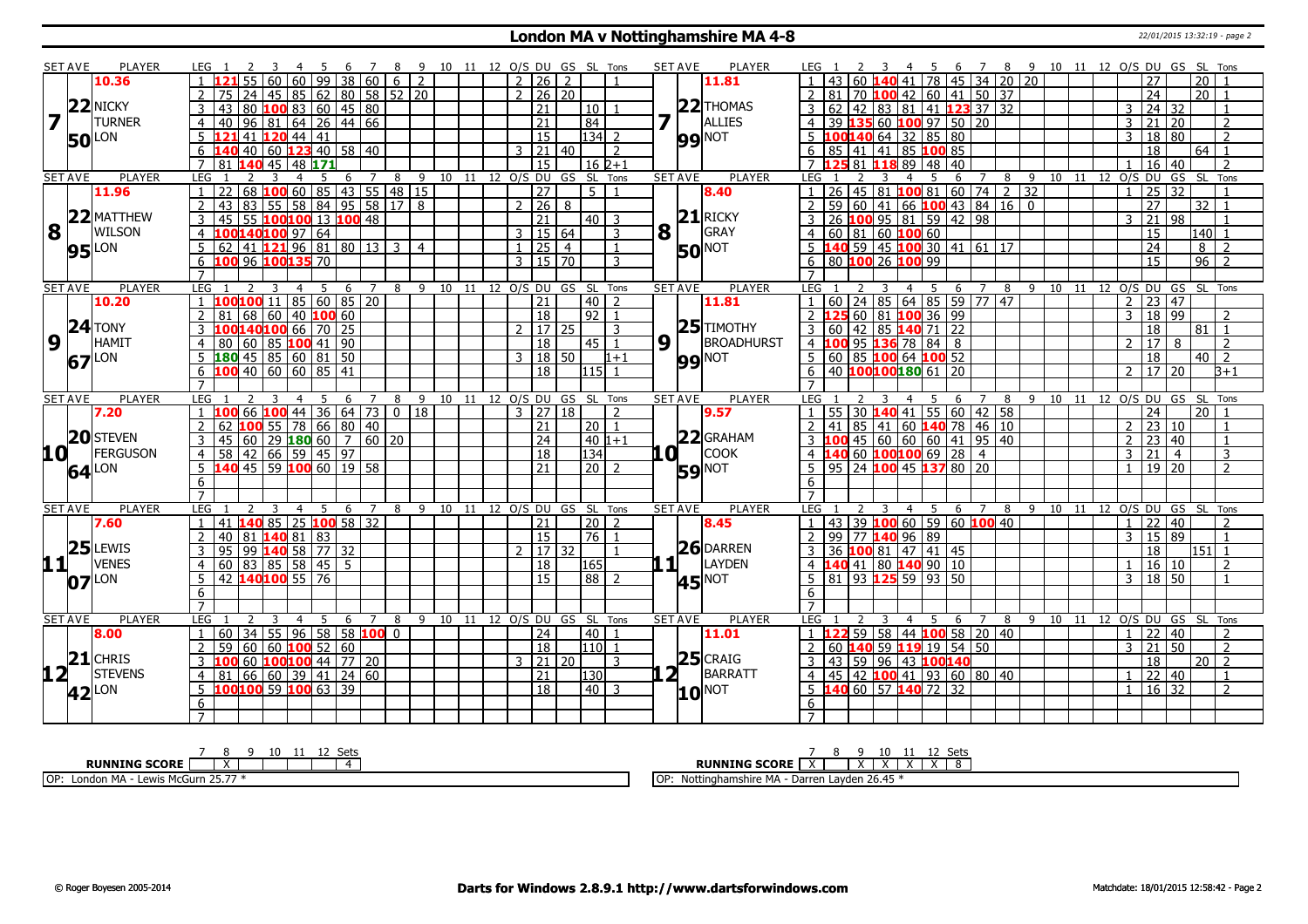#### **London MA v Nottinghamshire MA 4-8** 22/01/2015 13:32:19 - page 2

|                 | <b>SET AVE</b>            | <b>PLAYER</b>          | LEG 1<br>3<br>$\overline{4}$                                           | -5<br>-6<br>$\overline{7}$       | - 8                              |    |      | 9 10 11 12 O/S DU GS SL Tons |                |                                   | <b>SET AVE</b><br><b>PLAYER</b>  | 6 7 8 9 10 11 12 O/S DU GS SL Tons<br>LEG 1<br>4 5                                                     |
|-----------------|---------------------------|------------------------|------------------------------------------------------------------------|----------------------------------|----------------------------------|----|------|------------------------------|----------------|-----------------------------------|----------------------------------|--------------------------------------------------------------------------------------------------------|
|                 |                           | 10.36                  | 60                                                                     | $\overline{99}$<br>38<br>60      | 2<br>6                           |    |      | 2 <sup>1</sup><br>26         | 2              |                                   | 11.81                            | 45 34 20 20<br>$\overline{20}$<br>78<br>27                                                             |
|                 |                           |                        | 75<br>24                                                               | 45   85   62   80   58   52   20 |                                  |    |      | 2   26   20                  |                |                                   |                                  | $100$ 42 60 41 50 37<br>$\overline{24}$<br>$\overline{20}$<br>81<br>70                                 |
|                 |                           | 22 NICKY               | $ 43 80$ <b>100</b> 83 60 45 80<br>3                                   |                                  |                                  |    |      | 21                           |                | 10                                | $22$ THOMAS                      | 42   83   81   41   123 37   32<br>62<br>24<br>32<br>3<br>3<br>$\overline{1}$                          |
|                 | 7 <sup>T</sup>            | <b>TURNER</b>          | 96 81 <br>$\overline{4}$<br>40                                         | $\boxed{64}$ 26 44 66            |                                  |    |      | 21                           |                | 84                                | ALLIES                           | 39 135 60 100 97 50 20<br>20<br>$\overline{2}$<br>$\overline{4}$<br>3<br>21                            |
|                 |                           | LON                    | $ 41 $ 120 44 41<br>.5.<br>121                                         |                                  |                                  |    |      | 15                           |                | $134$ 2                           | <b>99 NOT</b>                    | $5$ 100 140 64 32 85 80<br>18<br>$\overline{80}$<br>$\overline{2}$<br>3                                |
|                 | <b>50</b>                 |                        | 40   60   <mark>1 23</mark> 40   58   40<br>6<br>140                   |                                  |                                  |    |      | $3 \mid 21 \mid 40$          |                | $\overline{2}$                    |                                  | 85 41 41 85 100 85<br>$\overline{18}$<br>$64$ 1<br>6                                                   |
|                 |                           |                        | $\overline{7}$<br>81.<br>140<br>45<br>48 171                           |                                  |                                  |    |      | $\overline{15}$              |                | $16 \, 2 + 1$                     |                                  | $\overline{81}$<br>7 <sup>h</sup><br>11889<br>48<br>$\overline{40}$<br>16<br>40<br>$\overline{z}$      |
|                 | <b>SET AVE</b>            | <b>PLAYER</b>          | LEG<br>3<br>$\overline{4}$                                             | 5<br>$\overline{7}$<br>6         | 9<br>8                           |    |      | 10 11 12 0/S DU GS SL Tons   |                |                                   | <b>SET AVE</b><br><b>PLAYER</b>  | GS SL Tons<br>LEG<br>8<br>9<br>10 11 12 O/S DU<br>4<br>5<br>6<br>7                                     |
|                 |                           | 11.96                  | 68 100 60 85 43 55 48 15<br>  22<br>-1                                 |                                  |                                  |    |      | $\overline{27}$              |                | $5-1$                             | 8.40                             | $26 45 81$ <b>100</b> 81 60 74 2<br>$\overline{32}$<br>25<br>$\overline{32}$                           |
|                 |                           |                        | $\overline{2}$<br>l 43<br>83.                                          | 55 58 84 95 58 17 8              |                                  |    |      | $2 \ 26 \ 8$                 |                |                                   |                                  | $59 60 41 66$ 100 43 84 16 0<br>$\overline{27}$<br>$\overline{32}$<br>$\overline{2}$<br>$\overline{1}$ |
|                 |                           | $22$ MATTHEW           | $\overline{3}$<br>$100100$ 13<br>45<br>55                              | 100 48                           |                                  |    |      | 21                           |                | $40$   3                          | $21$ RICKY                       | $100$ 95 81 59 42 98<br>$\overline{21}$<br>26<br>98<br>२<br>$\overline{\phantom{0}}$                   |
|                 | $\overline{\mathbf{8}}$ T | <b>WILSON</b>          | 100140100 97 64<br>$\overline{4}$                                      |                                  |                                  |    |      | 3   15   64                  |                | 3                                 | 8<br>GRAY                        | $60 \ 81 \ 60$ 100 60<br>15<br>140 l<br>$\overline{1}$                                                 |
|                 |                           |                        | 41 121 96 81 80 13<br>5<br>62                                          |                                  | $\overline{3}$<br>$\overline{4}$ |    |      | 25                           | $\overline{4}$ |                                   |                                  | $59$ 45 100 30 41 61 17<br>$\overline{24}$<br>8<br>$\overline{2}$                                      |
|                 |                           | <b>95</b> LON          | 100 96 100 135<br>6                                                    | 70                               |                                  |    |      | $\mathcal{E}$                | 15 70          | 3                                 | <b>50</b> <sup>NOT</sup>         | 96<br>26 100 99<br>$\overline{2}$<br>80 100<br>15                                                      |
|                 |                           |                        |                                                                        |                                  |                                  |    |      |                              |                |                                   |                                  |                                                                                                        |
|                 | <b>SET AVE</b>            | PLAYER                 | LEG<br>3<br>$\overline{4}$                                             | -5<br>6<br>$\overline{7}$        | 8                                |    |      | 9 10 11 12 O/S DU GS SL Tons |                |                                   | <b>SET AVE</b><br><b>PLAYER</b>  | 6 7 8 9 10 11 12 0/S DU GS SL Tons<br>LEG<br>4 5                                                       |
|                 |                           | 10.20                  | 100100 11 85 60 85 20                                                  |                                  |                                  |    |      | 21                           |                | 40<br>$\overline{2}$              | 11.81                            | 60 24 85 64 85 59 77 47<br>23 47<br>$\overline{2}$                                                     |
|                 |                           |                        | 60<br>40<br>2<br>81<br>68                                              | 100 60                           |                                  |    |      | 18                           |                | $\sqrt{92}$<br>$\overline{1}$     |                                  | 60 81 100 36 99<br>18<br>99<br>$\overline{2}$<br>$\overline{2}$<br>3                                   |
|                 |                           | $24$ TONY              | 100140100 66 70 25<br>$\mathbf{3}$                                     |                                  |                                  |    |      | $2 \mid 17 \mid 25$          |                | $\mathbf{R}$                      | $25$ TIMOTHY                     | $3 60 42 85$ 140 71 22<br>$\overline{18}$<br>$81$   1                                                  |
|                 | 9 1                       | <b>HAMIT</b>           | 60   85   <mark>100</mark>   41   90<br>80<br>$\overline{4}$           |                                  |                                  |    |      | $\overline{18}$              |                | l 45 l<br>$\overline{1}$          | $9\sqrt{1}$<br><b>BROADHURST</b> | 95 136 78 84 8<br>4100<br>17<br>8<br>$\overline{2}$<br>$\mathcal{D}$                                   |
|                 |                           |                        | $5 \,   \, 180 \,   \, 45 \,   \, 85 \,   \, 60 \,   \, 81 \,   \, 50$ |                                  |                                  |    |      | 3   18   50                  |                | $1 + 1$                           |                                  | 5   60   85   100   64   100   52<br>$\overline{18}$<br>$40\overline{2}$                               |
|                 | 67                        | LON                    | $100$ 40 60 60 85 41<br>6                                              |                                  |                                  |    |      | $\overline{18}$              |                | 115 L                             | <b>99 NOT</b>                    | 40 100100180 61 20<br>17 <sup>1</sup><br>6<br>$\mathcal{D}$<br>20<br>l3+1                              |
|                 |                           |                        | $\overline{7}$                                                         |                                  |                                  |    |      |                              |                |                                   |                                  | $\overline{7}$                                                                                         |
|                 |                           |                        |                                                                        |                                  |                                  |    |      |                              |                |                                   |                                  |                                                                                                        |
|                 |                           |                        |                                                                        |                                  |                                  |    |      |                              |                |                                   |                                  |                                                                                                        |
|                 | <b>SET AVE</b>            | <b>PLAYER</b>          | <b>LEG</b>                                                             | 6<br>7                           | 8                                |    |      | 9 10 11 12 O/S DU GS SL Tons |                |                                   | <b>SET AVE</b><br><b>PLAYER</b>  | LEG 1<br>9 10 11 12 O/S DU GS SL Tons<br>6<br>8<br>7                                                   |
|                 |                           | 7.20                   | 66 100<br>$1\,100$                                                     | $144$ 36 64 73                   | $0$   18                         |    |      | $3 \mid 27 \mid 18$          |                | $\overline{2}$                    | 9.57                             | 30 140 41 55<br>$60$ 42 58<br>24<br>55 <sub>1</sub><br>20 <sup>1</sup><br>$\vert$ 1<br>$\overline{1}$  |
|                 |                           |                        | $\overline{2}$<br>100<br>55                                            | 78 66 80 40                      |                                  |    |      | $\overline{21}$              |                | 20   1                            |                                  | 85 41 60 140 78 46 10<br>23 10<br>41<br>$\mathcal{P}$<br>$\mathbf{1}$                                  |
|                 |                           | 20 STEVEN              | $145$ 60 29 180 60 7 60 20<br>3                                        |                                  |                                  |    |      | 24                           |                | $ 40 1+1$                         | $22$ GRAHAM                      | 45 60 60 60 41 95 40<br>2 23 40<br>$\overline{1}$                                                      |
| 10 L            |                           | <b>FERGUSON</b>        | 42 66 59 45 97<br>58<br>$\overline{4}$                                 |                                  |                                  |    |      | 18                           |                | 134                               | соок<br>11 O I                   | 60 100100 69 28<br>$\overline{4}$<br>21<br>$\overline{3}$<br>$\mathbf{3}$<br>$\overline{4}$            |
|                 |                           | $64$ <sup>LON</sup>    | $5\overline{140}$ 45 59 100 60 19 58                                   |                                  |                                  |    |      | 21                           |                | $\overline{20}$<br>$\overline{2}$ | <b>59 NOT</b>                    | 95 24 100 45 137 80 20<br>19 20<br>$\overline{2}$                                                      |
|                 |                           |                        | 6                                                                      |                                  |                                  |    |      |                              |                |                                   |                                  | 6                                                                                                      |
|                 |                           |                        | $\overline{7}$                                                         |                                  |                                  |    |      |                              |                |                                   |                                  | $\overline{7}$                                                                                         |
|                 | <b>SET AVE</b>            | <b>PLAYER</b>          | LEG<br>2<br>3<br>4                                                     | -5<br>6<br>7                     | 9<br>8                           | 10 | - 11 | 12 O/S DU GS SL              |                | Tons                              | <b>SET AVE</b><br><b>PLAYER</b>  | LEG<br>$\overline{4}$<br>- 5<br>7<br>8 9 10 11<br>12 O/S DU GS SL<br>Tons<br>6                         |
|                 |                           | 7.60                   | 41 <b>140</b> 85<br>$\mathbf{1}$                                       | 25 100 58 32                     |                                  |    |      | 21                           |                | l 20 l<br>$\overline{2}$          | 8.45                             | 39 100 60 59 60 100 40<br>$\overline{1}$<br> 43 <br>40<br>$\overline{z}$<br>22                         |
|                 |                           |                        | $\overline{2}$<br>1408183<br>40 81                                     |                                  |                                  |    |      | 15                           |                | 76  <br>$\overline{1}$            |                                  | 99 77 140 96 89<br> 89 <br>$\overline{2}$<br>15<br>$\overline{1}$<br>3                                 |
|                 |                           |                        | 99 <b>140</b> 58 77 32<br>95<br>3                                      |                                  |                                  |    |      | 2   17   32                  |                | $\mathbf{1}$                      | $26$ DARREN                      | 36 100 81 47 41 45<br>3<br>18<br>151 l<br>$\overline{1}$                                               |
|                 |                           | $\frac{25}{11}$ PVENES | 83 85 58 45 5<br>$\overline{4}$<br>60                                  |                                  |                                  |    |      | 18                           |                | 165                               | $\mathbf{1}$<br><b>LAYDEN</b>    | 41 80 140 90 10<br>16<br>$\overline{4}$<br>  10<br>$\overline{\phantom{a}}$                            |
|                 | 07                        | LON                    | 42 140100 55 76<br>5                                                   |                                  |                                  |    |      | 15                           |                | 88   2                            | <b>45</b> <sup>NOT</sup>         | 81 93 125 59 93 50<br>$\overline{18}$<br>5<br>l 50<br>3<br>$\mathbf{1}$                                |
|                 |                           |                        | 6                                                                      |                                  |                                  |    |      |                              |                |                                   |                                  | 6                                                                                                      |
|                 |                           |                        | $\overline{7}$                                                         |                                  |                                  |    |      |                              |                |                                   |                                  | $\overline{7}$                                                                                         |
|                 | <b>SET AVE</b>            | PLAYER                 | <b>LEG</b><br>3<br>$\overline{4}$                                      | -5<br>-6<br>$\overline{7}$       | 8                                |    |      | 9 10 11 12 O/S DU GS SL Tons |                |                                   | <b>SET AVE</b><br><b>PLAYER</b>  | LEG <sub>1</sub><br>8 9 10 11 12 0/S DU GS SL Tons<br>- 5<br>6<br>$\overline{7}$<br>$\overline{4}$     |
|                 |                           | 8.00                   | 34   55   96   58   58   100   0<br>$\overline{1}$<br>  60             |                                  |                                  |    |      | 24                           |                | l 40 l<br>$\overline{1}$          | 11.01                            | 59 58 44 100 58 20 40<br>$1 \overline{22}$<br>40<br>$\overline{2}$<br>$-1$ $-1$                        |
|                 |                           |                        | 2<br>59 60 60 100 52 60                                                |                                  |                                  |    |      | $\overline{18}$              |                | 110 <br>$\overline{1}$            |                                  | $\overline{50}$<br>$\overline{2}$<br>60 <b>140</b> 59 <b>119</b> 19 54 50<br>3   21                    |
|                 |                           | $21$ CHRIS             | 60 <b>100100</b> 44 77 20                                              |                                  |                                  |    |      | $3 \mid 21 \mid 20$          |                | 3                                 | $25$ CRAIG                       | $\overline{18}$<br>$\overline{2}$<br>43 59 96 43 100140<br>20 <sup>1</sup>                             |
| 12 <sup>T</sup> |                           | <b>STEVENS</b>         | 66   60   39   41   24   60<br>81  <br>$\overline{4}$                  |                                  |                                  |    |      | 21                           |                | 130                               | $2^{\overline{1}}$<br>BARRATT    | $\overline{45}$<br>$12$ <b>100</b> 41 93 60 80 40<br>$22 \mid 40$<br>$\overline{1}$<br>4               |
|                 | $42$ <sup>LON</sup>       |                        | 100100 59 100 63 39<br>$5\overline{)}$                                 |                                  |                                  |    |      | $\overline{18}$              |                | $\boxed{40}$ 3                    | $10^{NOT}$                       | 40 60 57 140 72 32<br>$5^{\circ}$<br>$16 \overline{)32}$<br>$\overline{2}$                             |
|                 |                           |                        | 6<br>$\overline{7}$                                                    |                                  |                                  |    |      |                              |                |                                   |                                  | 6                                                                                                      |

|                                                           | 10<br>⊾∽<br>ハー                                                  |
|-----------------------------------------------------------|-----------------------------------------------------------------|
| <b>RUNNING SCORE</b>                                      | <b>RUNNING SCORE</b>                                            |
| ----<br>$OP^+$<br>. MA<br>ላcGurn 25.7<br>Lewis N<br>Longo | Lavden 26.45<br>$_{\rm outi}$ shire MA $\sim$<br>1 OF<br>Darren |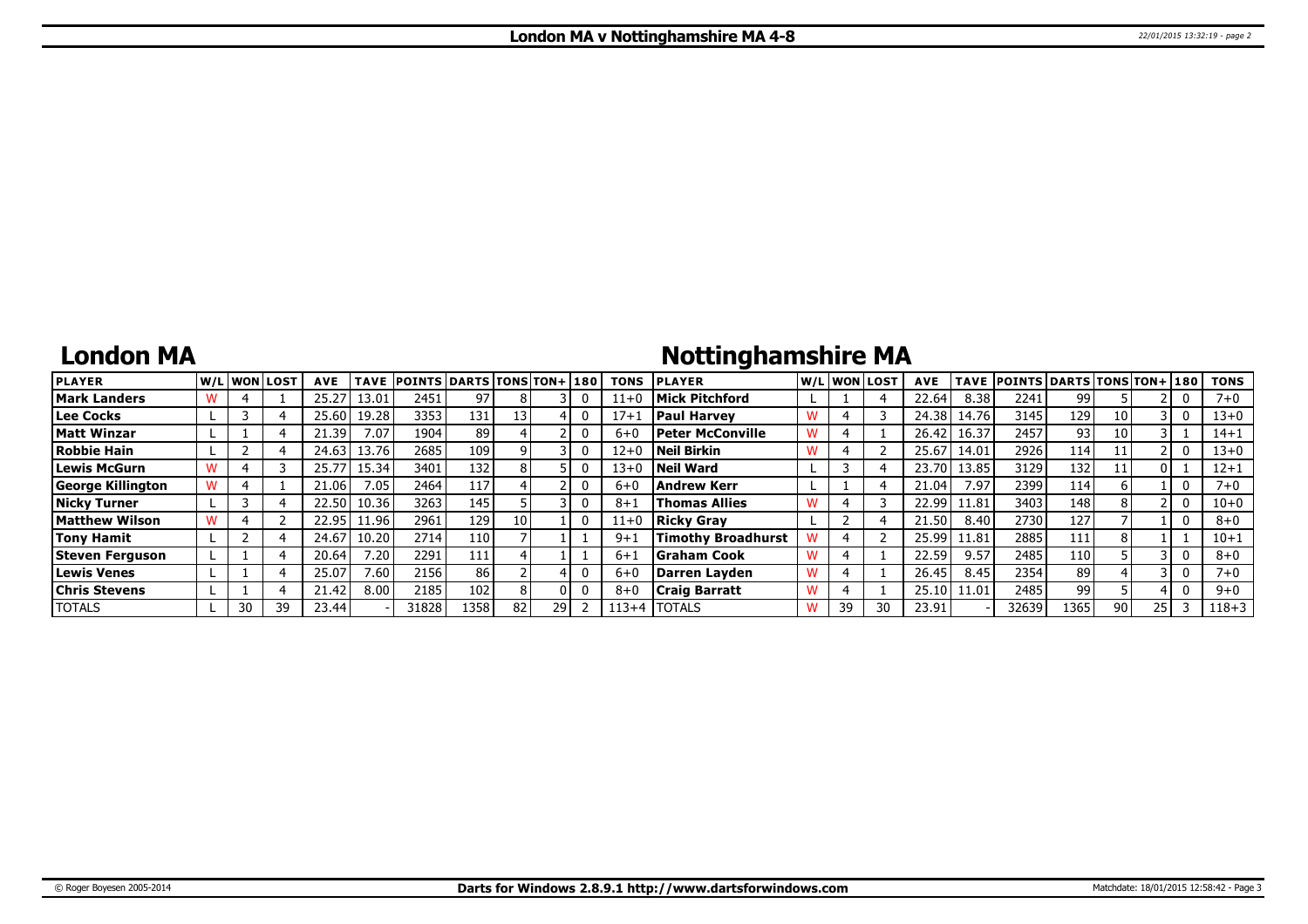## **London MA**

## **Nottinghamshire MA**

| <b>PLAYER</b>            |    | lw/Llwonllost | <b>AVE</b> | <b>TAVE</b> | <b>POINTS DARTS TONS TON+180</b> |      |    |    | <b>TONS</b> | <b>PLAYER</b>             |    | W/L WON LOST | <b>AVE</b> | <b>TAVE</b> | <b>POINTS DARTS TONS TON+ 180</b> |                 |      |    | <b>TONS</b> |
|--------------------------|----|---------------|------------|-------------|----------------------------------|------|----|----|-------------|---------------------------|----|--------------|------------|-------------|-----------------------------------|-----------------|------|----|-------------|
| <b>Mark Landers</b>      |    |               | 25.27      | 13.01       | 2451                             | 97   |    |    | $11+0$      | <b>Mick Pitchford</b>     |    |              | 22.64      | 8.38        | 2241                              | 99.             |      |    | $7 + 0$     |
| Lee Cocks                |    |               | 25.60 l    | 19.28       | 3353                             | 131  | 13 |    | $17 + 1$    | <b>Paul Harvey</b>        |    |              | 24.38      | 14.76       | 3145                              | 129             | 10 I |    | 13+0        |
| <b>Matt Winzar</b>       |    |               | 21.39      | 7.07        | 1904                             | 89   |    |    | $6 + 0$     | <b>Peter McConville</b>   |    |              | 26.42      | 16.37       | 2457                              | 93 <sub>1</sub> | 10   |    | $14 + 1$    |
| Robbie Hain              |    |               | 24.63      | 13.76       | 2685                             | 109  |    |    | $12 + 0$    | Neil Birkin               |    |              | 25.67      | 14.01       | 2926                              | 114             | 11   |    | $13 + 0$    |
| Lewis McGurn             |    |               | 25.77      | 15.34       | 3401                             | 132  |    |    | $13+0$      | Neil Ward                 |    |              | 23.70      | 13.85       | 3129                              | 132             | 11   |    | $12 + 1$    |
| <b>George Killington</b> |    |               | 21.06      | 7.05        | 2464                             | 117  |    |    | $6 + 0$     | Andrew Kerr               |    |              | 21.04      | 7.97        | 2399                              | 114'            |      |    | 7+0         |
| <b>Nicky Turner</b>      |    |               | 22.50      | 10.36       | 3263                             | 145  |    |    | $8 + 1$     | <b>Thomas Allies</b>      |    |              | 22.99      | 11.81       | 3403                              | 148             |      |    | 10+0        |
| <b>Matthew Wilson</b>    |    |               | 22.95      | 11.96       | 2961                             | 129  | 10 |    | $11+0$      | <b>Ricky Grav</b>         |    |              | 21.50      | 8.40        | 2730                              | 127             |      |    | $8 + 0$     |
| <b>Tony Hamit</b>        |    |               | 24.67      | 10.20       | 2714                             | 110  |    |    | $9 + 1$     | <b>Timothy Broadhurst</b> | 4  |              | 25.99      | 11.81       | 2885                              | 111             |      |    | $10 + 1$    |
| Steven Ferguson          |    |               | 20.64      | 7.20        | 2291                             | 111  |    |    | $6 + 1$     | <b>S</b> raham Cook       |    |              | 22.59      | 9.57        | 2485                              | 110             |      |    | $8 + 0$     |
| <b>Lewis Venes</b>       |    |               | 25.07      | 7.60        | 2156                             | 86   |    |    | $6 + C$     | Darren Layden             |    |              | 26.45      | 8.45        | 2354                              | 89              |      |    | $7 + 0$     |
| <b>Chris Stevens</b>     |    |               | 21.42      | 8.00        | 2185                             | 102  |    |    | $8 + 0$     | <b>Craig Barratt</b>      |    |              | 25.10      | 11.01       | 2485                              | 99              |      |    | $9 + 0$     |
| <b>TOTALS</b>            | 30 | 39            | 23.44      |             | 31828                            | 1358 | 82 | 29 | $113+4$     | <b>ITOTALS</b>            | 39 |              | 23.91      |             | 32639                             | 1365            | 90   | 25 | $118 + 3$   |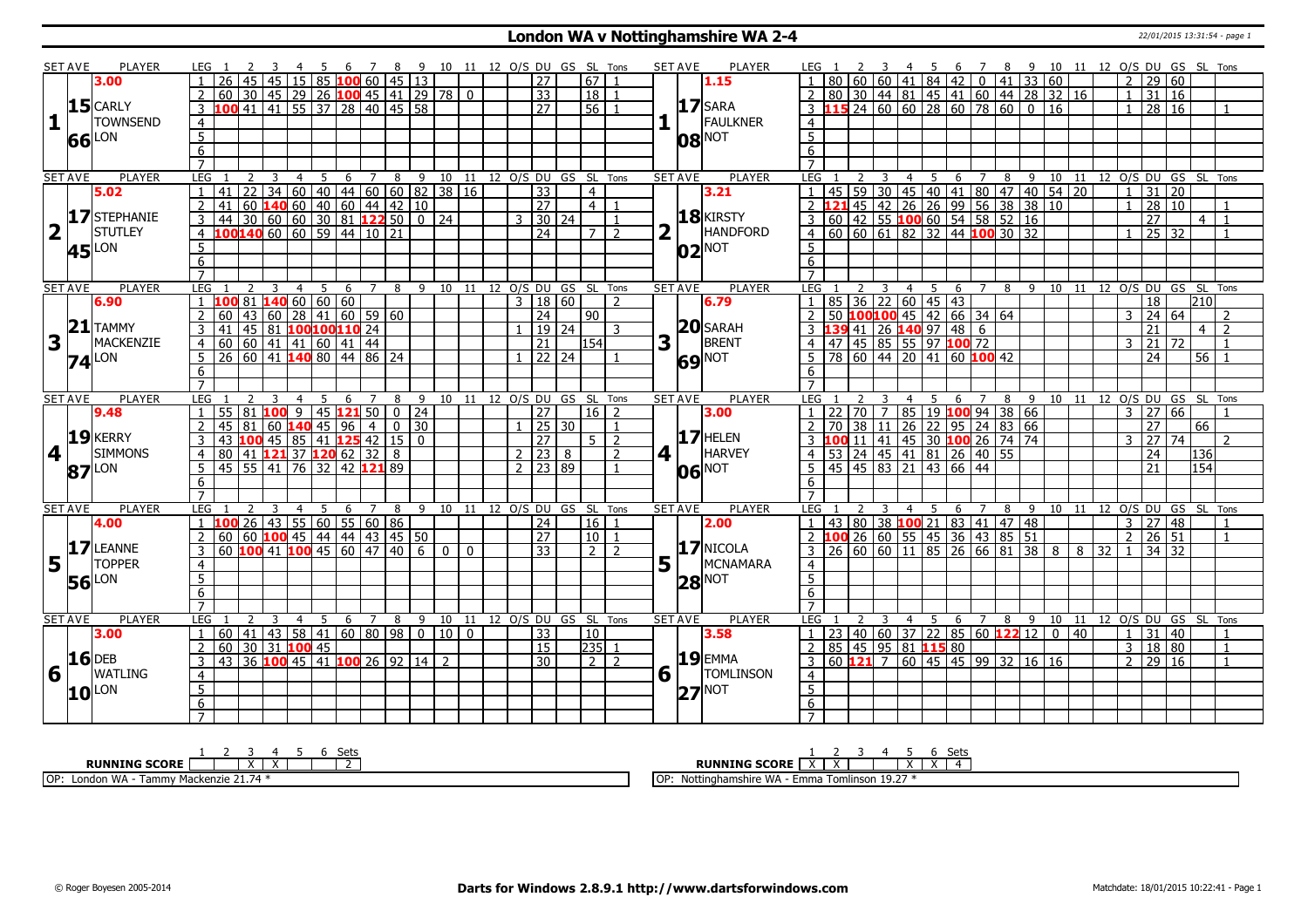### **London WA v Nottinghamshire WA 2-4** 22/01/2015 13:31:54 - page 1

| <b>SET AVE</b><br>$\mathbf{1}$<br>66 | <b>PLAYER</b><br>3.00<br>$15$ CARLY<br><b>TOWNSEND</b><br><b>LON</b> | LEG 1<br>26<br>45<br>60<br>100 41 41 55 37 28 40 45 58<br>3     | 30   45   29   26 <b>100</b>   45   41   29   78   0 | 4 5 6 7 8 9 10 11 12 O/S DU GS SL Tons<br>45   15   85 <b>100</b> 60   45   13             |                  |                |             |                                      |                              | 27                  |       | 67   1             |                |                | SET AVE        | <b>PLAYER</b><br>1.15       | LEG 1                                                              |                   |                | 3 4 5 6 7 8 9 10 11 12 O/S DU GS SL Tons                                              |   |                |                  |                                |           |             |                |                      |                      |            |                |
|--------------------------------------|----------------------------------------------------------------------|-----------------------------------------------------------------|------------------------------------------------------|--------------------------------------------------------------------------------------------|------------------|----------------|-------------|--------------------------------------|------------------------------|---------------------|-------|--------------------|----------------|----------------|----------------|-----------------------------|--------------------------------------------------------------------|-------------------|----------------|---------------------------------------------------------------------------------------|---|----------------|------------------|--------------------------------|-----------|-------------|----------------|----------------------|----------------------|------------|----------------|
|                                      |                                                                      |                                                                 |                                                      |                                                                                            |                  |                |             |                                      |                              |                     |       |                    |                |                |                |                             |                                                                    |                   |                |                                                                                       |   |                |                  |                                |           |             |                | 2 29 60              |                      |            |                |
|                                      |                                                                      |                                                                 |                                                      |                                                                                            |                  |                |             |                                      |                              | $\overline{33}$     |       | 18                 |                |                |                |                             |                                                                    |                   |                | 80 30 44 81 45 41 60 44 28 32 16                                                      |   |                |                  |                                |           |             | $1\quad$       | 31   16              |                      |            |                |
|                                      |                                                                      |                                                                 |                                                      |                                                                                            |                  |                |             |                                      |                              | $\overline{27}$     |       | $\overline{56}$    |                |                |                | $17$ SARA                   |                                                                    |                   |                | $\overline{15}$ 24 60 60 28 60 78 60 0 16                                             |   |                |                  |                                |           |             | 1 <sup>1</sup> | 28 16                |                      |            |                |
|                                      |                                                                      | $\overline{4}$                                                  |                                                      |                                                                                            |                  |                |             |                                      |                              |                     |       |                    |                |                |                | FAULKNER                    | $\overline{4}$                                                     |                   |                |                                                                                       |   |                |                  |                                |           |             |                |                      |                      |            |                |
|                                      |                                                                      | $\overline{5}$                                                  |                                                      |                                                                                            |                  |                |             |                                      |                              |                     |       |                    |                |                |                |                             | $\overline{5}$                                                     |                   |                |                                                                                       |   |                |                  |                                |           |             |                |                      |                      |            |                |
|                                      |                                                                      |                                                                 |                                                      |                                                                                            |                  |                |             |                                      |                              |                     |       |                    |                |                |                | <b>08 NOT</b>               |                                                                    |                   |                |                                                                                       |   |                |                  |                                |           |             |                |                      |                      |            |                |
|                                      |                                                                      | $\overline{6}$                                                  |                                                      |                                                                                            |                  |                |             |                                      |                              |                     |       |                    |                |                |                |                             | 6                                                                  |                   |                |                                                                                       |   |                |                  |                                |           |             |                |                      |                      |            |                |
|                                      |                                                                      | $\overline{7}$                                                  |                                                      |                                                                                            |                  |                |             |                                      |                              |                     |       |                    |                |                |                |                             |                                                                    |                   |                |                                                                                       |   |                |                  |                                |           |             |                |                      |                      |            |                |
| <b>SET AVE</b>                       | <b>PLAYER</b><br>5.02                                                | LEG<br>2<br>22<br>$\mathbf{1}$<br>41                            | 3                                                    | 5<br>4                                                                                     | 6                | $\overline{7}$ |             | 8 9 10 11 12 0/S DU GS SL Tons       |                              | 33                  |       |                    |                |                | <b>SET AVE</b> | <b>PLAYER</b><br>3.21       | LEG<br>45                                                          | 59 30             |                | - 5<br>4                                                                              |   | 6 7            |                  | 8 9 10 11 12 0/S DU GS SL Tons |           |             | $\overline{1}$ | 31                   | 20                   |            |                |
|                                      |                                                                      |                                                                 |                                                      | $34   60   40   44   60   60   82   38   16$                                               |                  |                |             |                                      |                              |                     |       | $\overline{4}$     |                |                |                |                             |                                                                    | 45                |                | 30   45   40   41   80   47   40   54   20<br>  42   26   26   99   56   38   38   10 |   |                |                  |                                |           |             |                |                      |                      |            |                |
|                                      | 17 STEPHANIE                                                         | $\overline{2}$<br>41                                            |                                                      | 60 140 60 40 60 44 42 10                                                                   |                  |                |             |                                      |                              | <b>27</b>           |       | 4                  | $\overline{1}$ |                |                | 18 KIRSTY                   |                                                                    |                   |                |                                                                                       |   |                |                  |                                |           |             | $\mathbf{1}$   | $\overline{28}$      | 10 <sup>1</sup>      |            | $\mathbf{1}$   |
|                                      |                                                                      |                                                                 |                                                      |                                                                                            |                  |                |             |                                      |                              | $3 \mid 30 \mid 24$ |       |                    | $\overline{1}$ |                |                |                             | $\frac{1}{3}$ 60 42 55 <b>100</b> 60 54 58 52 16                   |                   |                |                                                                                       |   |                |                  |                                |           |             |                | 27                   |                      | $4 \mid 1$ |                |
| $\overline{\mathbf{2}}$              | <b>STUTLEY</b>                                                       |                                                                 |                                                      |                                                                                            |                  |                |             |                                      |                              | 24                  |       | 7   2              |                | 2 <sub>1</sub> |                | <b>HANDFORD</b>             | $4   60   60   61   82   32   44   100   30   32$                  |                   |                |                                                                                       |   |                |                  |                                |           |             |                | $1 \overline{25}$ 32 |                      |            | $\overline{1}$ |
|                                      | <b>45</b> LON                                                        | 5                                                               |                                                      |                                                                                            |                  |                |             |                                      |                              |                     |       |                    |                |                |                | $ 02 ^{NOT}$                | $5^{\circ}$                                                        |                   |                |                                                                                       |   |                |                  |                                |           |             |                |                      |                      |            |                |
|                                      |                                                                      | 6                                                               |                                                      |                                                                                            |                  |                |             |                                      |                              |                     |       |                    |                |                |                |                             | 6                                                                  |                   |                |                                                                                       |   |                |                  |                                |           |             |                |                      |                      |            |                |
|                                      |                                                                      | $\overline{7}$                                                  |                                                      |                                                                                            |                  |                |             |                                      |                              |                     |       |                    |                |                |                |                             | $\overline{7}$                                                     |                   |                |                                                                                       |   |                |                  |                                |           |             |                |                      |                      |            |                |
| <b>SET AVE</b>                       | <b>PLAYER</b>                                                        | LEG<br>$\mathcal{L}$                                            | 3                                                    | -5<br>4                                                                                    | - 6              | $\overline{7}$ |             | 8 9 10 11 12 O/S DU GS SL Tons       |                              |                     |       |                    |                |                | <b>SET AVE</b> | <b>PLAYER</b>               | LEG                                                                |                   | - 3            | 5<br>4                                                                                | 6 | $\overline{7}$ |                  | 8 9 10 11 12 0/S DU GS SL Tons |           |             |                |                      |                      |            |                |
|                                      | 6.90                                                                 | 100<br>$\mathbf{1}$                                             |                                                      | $81$ 140 60 60 60                                                                          |                  |                |             |                                      |                              | 3   18   60         |       |                    | $\overline{2}$ |                |                | 6.79                        |                                                                    |                   |                | $85 \mid 36 \mid 22 \mid 60 \mid 45 \mid 43$                                          |   |                |                  |                                |           |             |                | $\overline{18}$      |                      | 210        |                |
|                                      |                                                                      | 2<br>60                                                         |                                                      | $\boxed{43}$ $\boxed{60}$ $\boxed{28}$ $\boxed{41}$ $\boxed{60}$ $\boxed{59}$ $\boxed{60}$ |                  |                |             |                                      |                              | 24                  |       | 90                 |                |                |                |                             | $2$ 50 <b>100 100</b> 45 42 66 34 64                               |                   |                |                                                                                       |   |                |                  |                                |           |             |                | $3 \mid 24 \mid 64$  |                      |            | $\mathcal{L}$  |
|                                      | $21$ TAMMY                                                           | $\mathbf{3}$<br>41                                              | 45 81                                                | 100 100 110 24                                                                             |                  |                |             |                                      |                              |                     | 19 24 |                    | $\mathcal{R}$  |                |                | $20$ SARAH                  |                                                                    |                   |                | 41 26 140 97 48 6                                                                     |   |                |                  |                                |           |             |                | $\overline{21}$      |                      | 4 I        | $\overline{2}$ |
| $\mathbf{3}$<br>$\mathbf{L}$         | MACKENZIE                                                            | 60   60   41   41   60   41   44<br>$\overline{4}$              |                                                      |                                                                                            |                  |                |             |                                      |                              | 21                  |       | 154                |                | 3              |                | BRENT                       | 4   47   45   85   55   97   100   72                              |                   |                |                                                                                       |   |                |                  |                                |           |             | 3              | 21                   | 72                   |            | $\overline{1}$ |
|                                      | $74$ <sup>LON</sup>                                                  | 5<br>26 60 41 <b>140</b> 80 44 86 24                            |                                                      |                                                                                            |                  |                |             |                                      |                              | 22   24             |       |                    |                |                |                | <b>69 NOT</b>               | 5                                                                  |                   |                | $\overline{78}$ 60 44 20 41 60 100 42                                                 |   |                |                  |                                |           |             |                | $\overline{24}$      |                      | $56$   1   |                |
|                                      |                                                                      | 6                                                               |                                                      |                                                                                            |                  |                |             |                                      |                              |                     |       |                    |                |                |                |                             | 6                                                                  |                   |                |                                                                                       |   |                |                  |                                |           |             |                |                      |                      |            |                |
|                                      |                                                                      | $\overline{7}$                                                  |                                                      |                                                                                            |                  |                |             |                                      |                              |                     |       |                    |                |                |                |                             |                                                                    |                   |                |                                                                                       |   |                |                  |                                |           |             |                |                      |                      |            |                |
| <b>SET AVE</b>                       | <b>PLAYER</b>                                                        | LEG 1                                                           | 3                                                    | $\overline{4}$<br>5                                                                        |                  |                |             | 6 7 8 9 10 11 12 O/S DU GS SL Tons   |                              |                     |       |                    |                |                | <b>SET AVE</b> | <b>PLAYER</b>               | LEG <sub>1</sub>                                                   |                   | $\overline{3}$ | 4 5 6 7 8 9 10 11 12 O/S DU GS SL Tons                                                |   |                |                  |                                |           |             |                |                      |                      |            |                |
|                                      | 9.48                                                                 | 55<br>81                                                        | 100                                                  | $\overline{\phantom{a}}$                                                                   | $45$ 121 50 0 24 |                |             |                                      |                              | $\overline{27}$     |       | $16$   2           |                |                |                | 3.00                        | 22                                                                 | $70 \overline{7}$ |                | 85   19 <mark>100</mark> 94   38   66                                                 |   |                |                  |                                |           |             |                | 3 27                 | 66                   |            |                |
|                                      |                                                                      | 2<br>45<br>81                                                   |                                                      | 60 <b>140</b> 45                                                                           | 96               | 4 I            | $0 \mid 30$ |                                      |                              | 25 30               |       |                    |                |                |                |                             |                                                                    | 38                | l 11           | $\overline{26}$                                                                       |   |                | $22$ 95 24 83 66 |                                |           |             |                | 27                   |                      | 66         |                |
|                                      | 19 KERRY                                                             | 3<br>43                                                         |                                                      | <mark>100</mark> 45 85 41 <b>125</b> 42 15 0                                               |                  |                |             |                                      |                              | $\overline{27}$     |       | $5 \mid 2$         |                |                |                | $17$ HELEN                  |                                                                    |                   |                | $ 41 $ 45 30 <b>100</b> 26 74 74                                                      |   |                |                  |                                |           |             | 3              | 27                   | 74                   |            | $\overline{2}$ |
| $\vert 4 \vert$ $\vert$              | <b>SIMMONS</b>                                                       | $80 \mid 41$ <b>121</b> 37 <b>120</b> 62 32 8<br>$\overline{4}$ |                                                      |                                                                                            |                  |                |             |                                      |                              | 2   23   8          |       |                    | 2              | 4              |                | <b>HARVEY</b>               | 4   53   24   45   41   81   26   40   55                          |                   |                |                                                                                       |   |                |                  |                                |           |             |                | 24                   |                      | 136l       |                |
|                                      | 87 LON                                                               | 45 55 41 76 32 42 121 89<br>5                                   |                                                      |                                                                                            |                  |                |             |                                      |                              | 2 2 3 8 9           |       |                    | $\overline{1}$ |                |                | $\overline{\text{06}}$ INOT | .5                                                                 |                   |                | $\frac{145}{45}$ 45 83 21 43 66 44                                                    |   |                |                  |                                |           |             |                | 21                   |                      | 154        |                |
|                                      |                                                                      | 6                                                               |                                                      |                                                                                            |                  |                |             |                                      |                              |                     |       |                    |                |                |                |                             | 6                                                                  |                   |                |                                                                                       |   |                |                  |                                |           |             |                |                      |                      |            |                |
|                                      |                                                                      | $\overline{7}$                                                  |                                                      |                                                                                            |                  |                |             |                                      |                              |                     |       |                    |                |                |                |                             | $\overline{7}$                                                     |                   |                |                                                                                       |   |                |                  |                                |           |             |                |                      |                      |            |                |
| <b>SET AVE</b>                       | <b>PLAYER</b>                                                        | LEG                                                             |                                                      | 5                                                                                          | 6                | $\overline{Z}$ | 8           |                                      | 9 10 11 12 0/S DU GS SL Tons |                     |       |                    |                |                | <b>SET AVE</b> | <b>PLAYER</b>               | LEG 1                                                              |                   |                | 5 <sup>5</sup><br>$\overline{4}$                                                      | 6 | $7^{\circ}$    | 8                | 9                              | $10$ $11$ |             |                |                      | 12 O/S DU GS SL Tons |            |                |
|                                      | 4.00                                                                 | $\mathbf{1}$<br>100                                             |                                                      | $26$   43   55   60   55   60   86                                                         |                  |                |             |                                      |                              | $\overline{24}$     |       | 16                 | $\overline{1}$ |                |                | 2.00                        |                                                                    |                   |                | 43 80 38 100 21 83 41 47 48                                                           |   |                |                  |                                |           |             |                | $3 \mid 27 \mid$     | 48                   |            |                |
|                                      |                                                                      | $\overline{2}$<br>60                                            |                                                      | 60 <b>100</b> 45 44 44 43 45 50                                                            |                  |                |             |                                      |                              | $\overline{27}$     |       | $\vert$ 10 $\vert$ | $\overline{1}$ |                |                |                             | 2 100 26 60 55 45 36 43 85 51<br>3 26 60 60 11 85 26 66 81 38 8    |                   |                |                                                                                       |   |                |                  |                                |           |             | $\overline{2}$ | 26 51                |                      |            | $\overline{1}$ |
|                                      | $17$ LEANNE                                                          | 60 <b>100</b> 41 <b>100</b> 45 60 47 40 6 0 0<br>3              |                                                      |                                                                                            |                  |                |             |                                      |                              | 33                  |       | $2\sqrt{2}$        |                |                |                | $17$ NICOLA                 |                                                                    |                   |                |                                                                                       |   |                |                  |                                |           | $8 \mid 32$ | $\overline{1}$ | $34 \mid 32$         |                      |            |                |
| 5                                    | <b>TOPPER</b>                                                        | $\overline{4}$                                                  |                                                      |                                                                                            |                  |                |             |                                      |                              |                     |       |                    |                | 5 <sub>1</sub> |                | MCNAMARA                    | $\overline{4}$                                                     |                   |                |                                                                                       |   |                |                  |                                |           |             |                |                      |                      |            |                |
|                                      | LON                                                                  | 5                                                               |                                                      |                                                                                            |                  |                |             |                                      |                              |                     |       |                    |                |                |                | <b>NOT</b>                  | 5 <sup>5</sup>                                                     |                   |                |                                                                                       |   |                |                  |                                |           |             |                |                      |                      |            |                |
| 56                                   |                                                                      | $6\overline{6}$                                                 |                                                      |                                                                                            |                  |                |             |                                      |                              |                     |       |                    |                |                | 28             |                             | 6                                                                  |                   |                |                                                                                       |   |                |                  |                                |           |             |                |                      |                      |            |                |
|                                      |                                                                      | $\overline{7}$                                                  |                                                      |                                                                                            |                  |                |             |                                      |                              |                     |       |                    |                |                |                |                             | $\overline{7}$                                                     |                   |                |                                                                                       |   |                |                  |                                |           |             |                |                      |                      |            |                |
| <b>SET AVE</b>                       | <b>PLAYER</b>                                                        | LEG                                                             | 3                                                    | $\overline{4}$                                                                             |                  |                |             | 5 6 7 8 9 10 11 12 O/S DU GS SL Tons |                              |                     |       |                    |                |                | <b>SET AVE</b> | <b>PLAYER</b>               | LEG <sub>1</sub>                                                   |                   | 3              | 4 5 6 7 8 9 10 11 12 O/S DU GS SL Tons                                                |   |                |                  |                                |           |             |                |                      |                      |            |                |
|                                      | 3.00                                                                 | $60  41  43  58  41  60  80  98   0  10   0$<br>$\overline{1}$  |                                                      |                                                                                            |                  |                |             |                                      |                              | $\overline{33}$     |       | $\overline{10}$    |                |                |                | 3.58                        | $1 \mid 23 \mid 40 \mid 60 \mid 37 \mid 22 \mid 85 \mid 60$ 122 12 |                   |                |                                                                                       |   |                |                  | $\bullet$                      | 40        |             |                | $1 \mid 31 \mid 40$  |                      |            | $\overline{1}$ |
|                                      |                                                                      | 60<br>$\overline{2}$                                            |                                                      | 30 31 100 45                                                                               |                  |                |             |                                      |                              | l 15                |       | $ 235 $ 1          |                |                |                |                             | 2                                                                  |                   |                | 85   45   95   81 <b>115</b> 80                                                       |   |                |                  |                                |           |             |                | 3   18   80          |                      |            | $\overline{1}$ |
| $16$ DEB                             |                                                                      |                                                                 |                                                      |                                                                                            |                  |                |             |                                      |                              |                     |       |                    |                |                |                | <b>19 EMMA</b>              |                                                                    |                   |                |                                                                                       |   |                |                  |                                |           |             |                |                      |                      |            |                |
|                                      | <b>WATLING</b>                                                       | 43 36 100 45 41 100 26 92 14 2<br>3                             |                                                      |                                                                                            |                  |                |             |                                      |                              | $\overline{30}$     |       | 2 <sup>2</sup>     |                |                |                |                             | 3                                                                  |                   |                |                                                                                       |   |                |                  |                                |           |             |                | $2 \mid 29 \mid 16$  |                      |            | $\overline{1}$ |
| 6                                    |                                                                      | $\overline{4}$                                                  |                                                      |                                                                                            |                  |                |             |                                      |                              |                     |       |                    |                | 6              |                | <b>TOMLINSON</b>            | $\overline{4}$                                                     |                   |                |                                                                                       |   |                |                  |                                |           |             |                |                      |                      |            |                |
|                                      | 10 LON                                                               | 5                                                               |                                                      |                                                                                            |                  |                |             |                                      |                              |                     |       |                    |                |                | 27             | NOT                         | $\overline{5}$                                                     |                   |                |                                                                                       |   |                |                  |                                |           |             |                |                      |                      |            |                |
|                                      |                                                                      | 6                                                               |                                                      |                                                                                            |                  |                |             |                                      |                              |                     |       |                    |                |                |                |                             | 6                                                                  |                   |                |                                                                                       |   |                |                  |                                |           |             |                |                      |                      |            |                |
|                                      |                                                                      |                                                                 |                                                      |                                                                                            |                  |                |             |                                      |                              |                     |       |                    |                |                |                |                             |                                                                    |                   |                |                                                                                       |   |                |                  |                                |           |             |                |                      |                      |            |                |

| ししに                                                                            | +ە><br>ししし                                                              |
|--------------------------------------------------------------------------------|-------------------------------------------------------------------------|
| <b>RUNNING SCORE</b>                                                           | <b>RUNNING SCORE</b><br>$\overline{\phantom{a}}$<br>$\lambda$           |
| 74<br>∩n<br>$\mu$ uon WA - $\tau$<br>→ Mackenzie 21.<br>ammy '<br>– one∙<br>UΓ | $-10.27$<br>⊥OP<br>Nottinghamshire WA<br>`Tomlinson 19.∠<br><b>Emma</b> |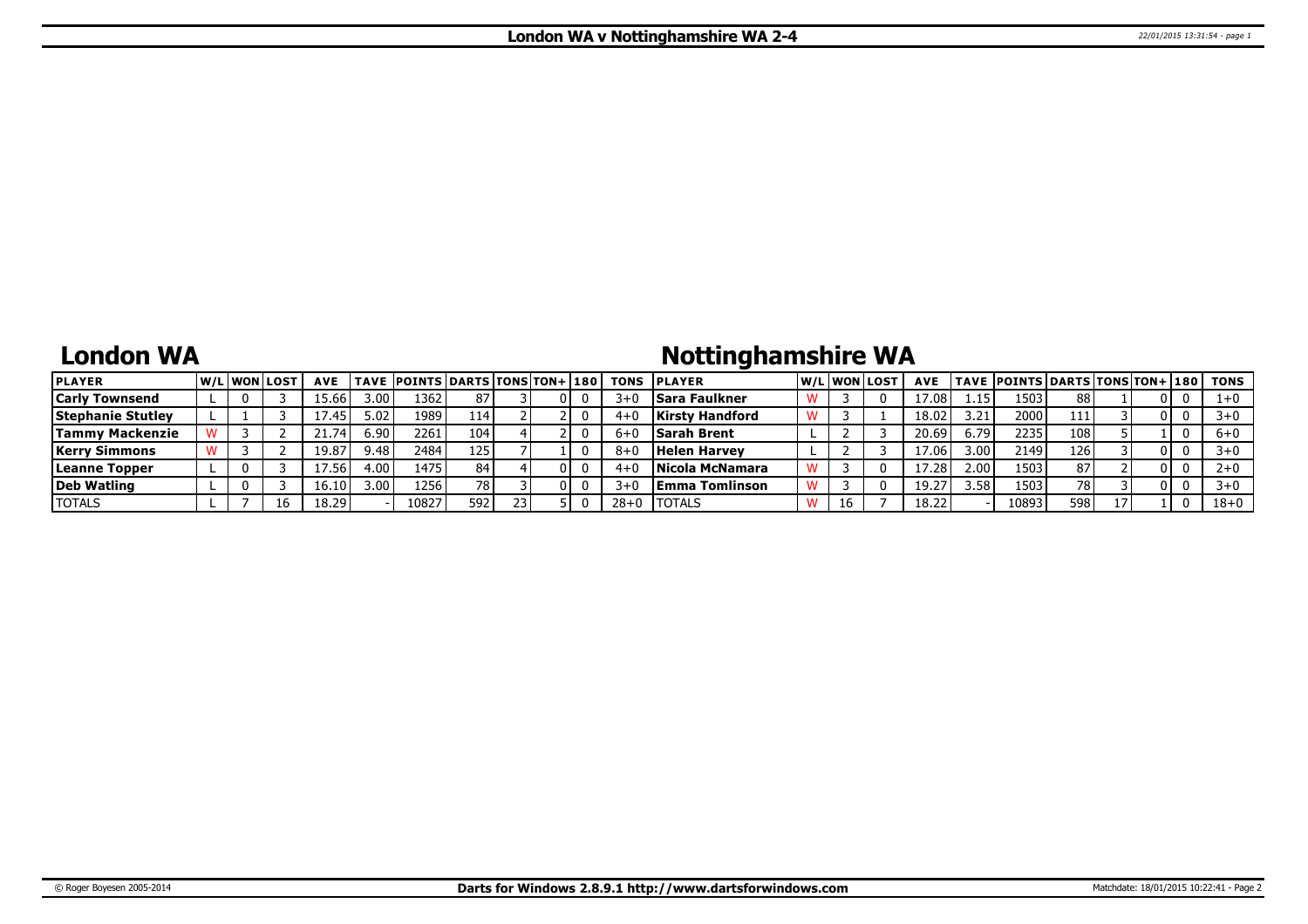## **London WA**

# **Nottinghamshire WA**

| <b>PLAYER</b>            | <b>W/Liwonilost</b> |    | <b>AVE</b> |        | <b>TAVE POINTS DARTS TONS TON+ 180</b> |      |  | <b>TONS</b> | <b>IPLAYER</b>         |    | W/Liwonilost | <b>AVE</b> |                   | TAVE  POINTS   DARTS   TONS   TON+   180 |       |    |  | TONS     |
|--------------------------|---------------------|----|------------|--------|----------------------------------------|------|--|-------------|------------------------|----|--------------|------------|-------------------|------------------------------------------|-------|----|--|----------|
| <b>Carly Townsend</b>    |                     |    | 15.661     | ا 3.00 | 1362                                   | 87   |  | $3+0$       | <b>Sara Faulkner</b>   |    |              | 17.08      | $1.15^{\circ}$    | 1503                                     | 88 I  |    |  |          |
| <b>Stephanie Stutley</b> |                     |    | 1/0.451    | 5.02   | 1989                                   | 114  |  | $4 + C$     | <b>Kirsty Handford</b> |    |              | 18.02      | 3.21              | 2000                                     | 111   |    |  | 3+0      |
| <b>Tammy Mackenzie</b>   |                     |    | 74         | 6.90   | 2261                                   | 104  |  | $6 + 0$     | <b>Sarah Brent</b>     |    |              | 20.69      | 6.79              | 2235                                     | 108   |    |  | $6 + 0$  |
| <b>Kerry Simmons</b>     |                     |    | 19.87      | 9.48   | 2484                                   | 125  |  | $8 + 0$     | <b>Helen Harvey</b>    |    |              | 17.06      | 3.00 <sub>1</sub> | 2149                                     | 126 l |    |  | 3+0      |
| Leanne Topper            |                     |    | ا 56. ⁄⊾   | 4.00   | 1475                                   | 84   |  | $4 + 0$     | Nicola McNamara        |    |              | 17.28      | 2.00 <sub>1</sub> | 1503                                     | 87    |    |  | 2+0      |
| Deb Watling              |                     |    | 16.101     | 3.00 l | 1256                                   | 78 I |  | $3 + 0$     | Emma Tomlinson         |    |              | 19.27      | 1.58              | 1503                                     | 78 I  |    |  | 3+0      |
| <b>TOTALS</b>            |                     | 16 | 18.29      |        | 10827                                  | 592  |  | $28 + 0$    | <b>ITOTALS</b>         | 16 |              | 18.22      |                   | 10893                                    | 598   | 17 |  | $18 + 0$ |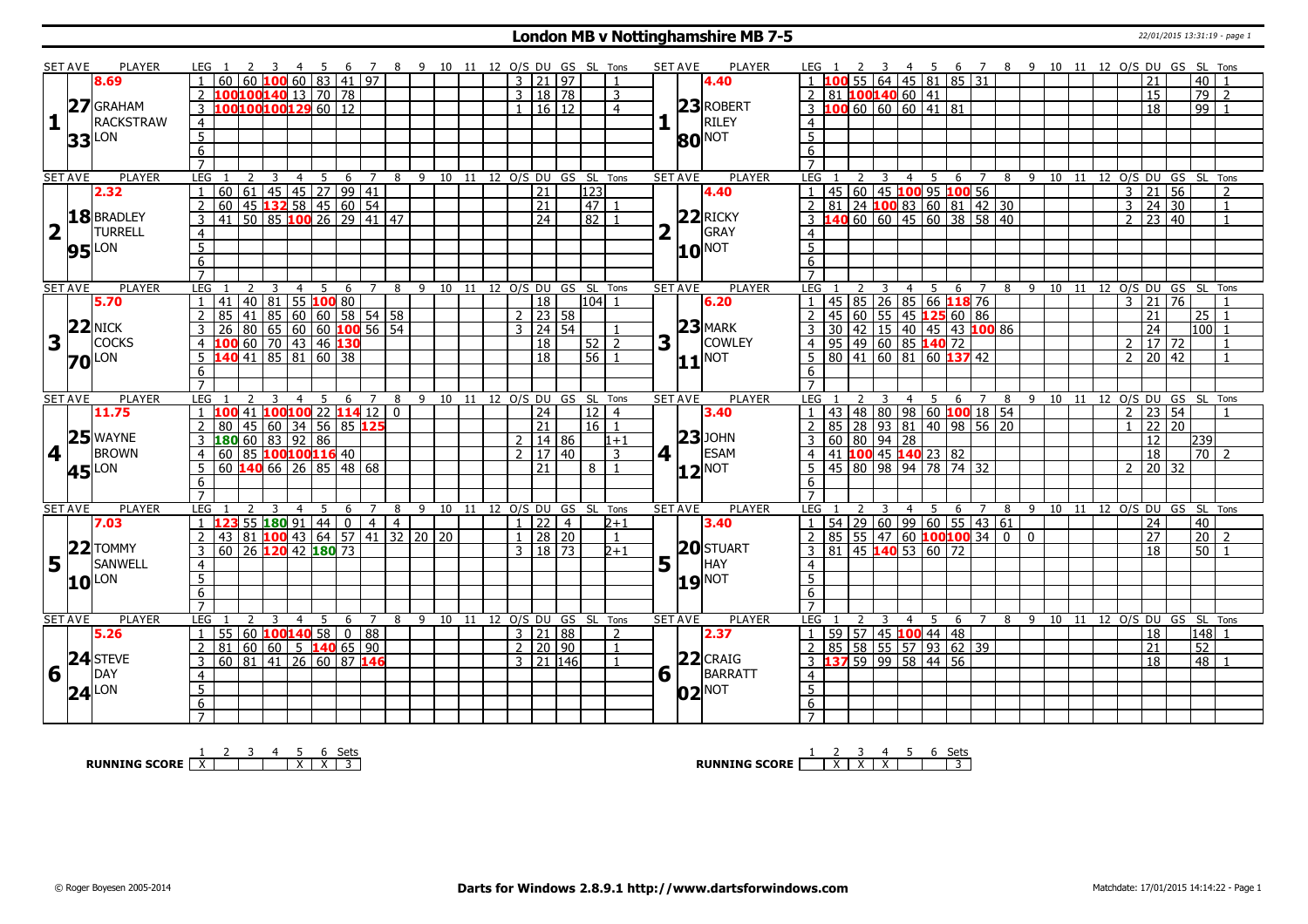#### **London MB v Nottinghamshire MB 7-5** 22/01/2015 13:31:19 - page 1

|                         | <b>SET AVE</b> | PLAYER                                  |                                   | LEG 1                                                                                                                        |               |                         |                |      |           |             |                 |                |   |  |                         |                          | 2 3 4 5 6 7 8 9 10 11 12 O/S DU GS SL Tons |                                    |   | SET AVE<br>PLAYER               | LEG 1               |                                             |   |                |                   |                      |                                                    | 2 3 4 5 6 7 8 9 10 11 12 O/S DU GS SL Tons |  |                |                       |                      |                                |                         |
|-------------------------|----------------|-----------------------------------------|-----------------------------------|------------------------------------------------------------------------------------------------------------------------------|---------------|-------------------------|----------------|------|-----------|-------------|-----------------|----------------|---|--|-------------------------|--------------------------|--------------------------------------------|------------------------------------|---|---------------------------------|---------------------|---------------------------------------------|---|----------------|-------------------|----------------------|----------------------------------------------------|--------------------------------------------|--|----------------|-----------------------|----------------------|--------------------------------|-------------------------|
|                         |                | 8.69                                    |                                   | $60 60 $ <b>100</b> 60 83 41 97                                                                                              |               |                         |                |      |           |             |                 |                |   |  |                         | 3 21 97                  |                                            |                                    |   | 4.40                            |                     |                                             |   |                | 55 64 45 81 85 31 |                      |                                                    |                                            |  |                | 21                    |                      | 40                             |                         |
|                         |                |                                         |                                   | 2 100100140 13 70 78                                                                                                         |               |                         |                |      |           |             |                 |                |   |  |                         | 3   18   78              |                                            | 3                                  |   |                                 | 2 81 100140 60 41   |                                             |   |                |                   |                      |                                                    |                                            |  |                | $\overline{15}$       |                      | $\overline{79}$                | $\overline{2}$          |
|                         |                | 27 GRAHAM                               |                                   | 3 100100100129 60 12                                                                                                         |               |                         |                |      |           |             |                 |                |   |  |                         | 1   16   12              |                                            | $\overline{4}$                     |   | $23$ ROBERT                     |                     | $\overline{3}$ 100 60 60 60 41 81           |   |                |                   |                      |                                                    |                                            |  |                | 18                    |                      | 99                             |                         |
| 1                       |                | RACKSTRAW                               |                                   |                                                                                                                              |               |                         |                |      |           |             |                 |                |   |  |                         |                          |                                            |                                    |   | RILEY                           |                     |                                             |   |                |                   |                      |                                                    |                                            |  |                |                       |                      |                                |                         |
|                         |                |                                         | $\overline{4}$                    |                                                                                                                              |               |                         |                |      |           |             |                 |                |   |  |                         |                          |                                            |                                    |   |                                 | $\overline{4}$      |                                             |   |                |                   |                      |                                                    |                                            |  |                |                       |                      |                                |                         |
|                         | 33             | LON                                     | $\overline{5}$                    |                                                                                                                              |               |                         |                |      |           |             |                 |                |   |  |                         |                          |                                            |                                    |   | <b>80 NOT</b>                   | 5                   |                                             |   |                |                   |                      |                                                    |                                            |  |                |                       |                      |                                |                         |
|                         |                |                                         | 6                                 |                                                                                                                              |               |                         |                |      |           |             |                 |                |   |  |                         |                          |                                            |                                    |   |                                 | 6                   |                                             |   |                |                   |                      |                                                    |                                            |  |                |                       |                      |                                |                         |
|                         |                |                                         | $\overline{7}$                    |                                                                                                                              |               |                         |                |      |           |             |                 |                |   |  |                         |                          |                                            |                                    |   |                                 | $\overline{7}$      |                                             |   |                |                   |                      |                                                    |                                            |  |                |                       |                      |                                |                         |
|                         | <b>SET AVE</b> | <b>PLAYER</b>                           | <b>LEG</b>                        |                                                                                                                              | 2             | $\overline{\mathbf{3}}$ | $\overline{4}$ | $-5$ |           |             |                 |                |   |  |                         |                          |                                            | 6 7 8 9 10 11 12 O/S DU GS SL Tons |   | <b>PLAYER</b><br><b>SET AVE</b> | LEG <sub>1</sub>    |                                             |   |                |                   |                      | 2 3 4 5 6 7 8 9 10 11 12 O/S DU GS SL Tons         |                                            |  |                |                       |                      |                                |                         |
|                         |                | 2.32                                    | $\overline{1}$                    | 60   61   45   45   27   99   41<br>  60   45   132 58   45   60   54                                                        |               |                         |                |      |           |             |                 |                |   |  |                         | $\overline{21}$          | $\overline{123}$                           |                                    |   | 4.40                            |                     |                                             |   |                |                   |                      | 45 60 45 100 95 100 56<br>81 24 100 83 60 81 42 30 |                                            |  |                | $3 \mid 21 \mid 56$   |                      |                                | $\overline{2}$          |
|                         |                |                                         | $\overline{2}$                    |                                                                                                                              |               |                         |                |      |           |             |                 |                |   |  |                         | $\overline{21}$          | 47                                         |                                    |   |                                 | 2                   |                                             |   |                |                   |                      |                                                    |                                            |  |                | $3 \ 24 \ 30$         |                      |                                | $\overline{1}$          |
|                         |                | 18 BRADLEY                              |                                   | 41 50 85 100 26 29 41 47                                                                                                     |               |                         |                |      |           |             |                 |                |   |  |                         | 24                       | $\sqrt{82}$                                |                                    |   | $22$ RICKY                      |                     |                                             |   |                |                   |                      | $-40$ 60 60 45 60 38 58 40                         |                                            |  |                | $2 \mid 23 \mid 40$   |                      |                                | $\overline{1}$          |
| $\overline{\mathbf{2}}$ | l II           | <b>TURRELL</b>                          | $\frac{4}{ }$                     |                                                                                                                              |               |                         |                |      |           |             |                 |                |   |  |                         |                          |                                            |                                    |   | GRAY                            | $\overline{4}$      |                                             |   |                |                   |                      |                                                    |                                            |  |                |                       |                      |                                |                         |
|                         |                | $95$ <sup>LON</sup>                     | $\overline{5}$                    |                                                                                                                              |               |                         |                |      |           |             |                 |                |   |  |                         |                          |                                            |                                    |   | 10 <sup> NOT</sup>              | $5\overline{5}$     |                                             |   |                |                   |                      |                                                    |                                            |  |                |                       |                      |                                |                         |
|                         |                |                                         | 6                                 |                                                                                                                              |               |                         |                |      |           |             |                 |                |   |  |                         |                          |                                            |                                    |   |                                 | 6                   |                                             |   |                |                   |                      |                                                    |                                            |  |                |                       |                      |                                |                         |
|                         |                |                                         | $\overline{7}$                    |                                                                                                                              |               |                         |                |      |           |             |                 |                |   |  |                         |                          |                                            |                                    |   |                                 | $\overline{7}$      |                                             |   |                |                   |                      |                                                    |                                            |  |                |                       |                      |                                |                         |
|                         | <b>SET AVE</b> | <b>PLAYER</b>                           | <b>LEG</b>                        |                                                                                                                              |               |                         | $\overline{4}$ | 5    |           | -6          | $\overline{7}$  | 8              | 9 |  |                         |                          | 10 11 12 O/S DU GS SL Tons                 |                                    |   | <b>SET AVE</b><br><b>PLAYER</b> | LEG                 |                                             |   | $\overline{4}$ | 5<br>6            | $\overline{7}$       |                                                    | 8 9 10 11 12 0/S DU GS SL Tons             |  |                |                       |                      |                                |                         |
|                         |                | 5.70                                    | $\overline{1}$                    | 41                                                                                                                           |               | 40 81                   |                |      | 55 100 80 |             |                 |                |   |  |                         | 18                       | l104l 1                                    |                                    |   | 6.20                            | $\overline{1}$      | 45 85 26 85 66 118 76                       |   |                |                   |                      |                                                    |                                            |  |                | $3 \mid 21 \mid$      | 76                   |                                |                         |
|                         |                |                                         | <sup>2</sup>                      |                                                                                                                              |               |                         |                |      |           |             |                 |                |   |  |                         | $2$   23   58            |                                            |                                    |   |                                 | $\overline{2}$      | 45 60 55 45 125 60 86                       |   |                |                   |                      |                                                    |                                            |  |                | 21                    |                      | 25                             |                         |
|                         | 22             | <b>NICK</b>                             | $\overline{3}$                    | 15 41 85 60 60 58 54 58<br>26 80 65 60 60 <b>100</b> 56 54<br><b>100</b> 60 70 43 46 <b>130</b><br><b>140</b> 41 85 81 60 38 |               |                         |                |      |           |             |                 |                |   |  |                         | $3 \mid 24 \mid 54 \mid$ |                                            | $\mathbf{1}$                       |   | $23$ MARK                       | $\mathcal{R}$       |                                             |   |                |                   |                      |                                                    |                                            |  |                | $\overline{24}$       |                      | $100$ 1                        |                         |
| 3                       |                | <b>COCKS</b>                            |                                   |                                                                                                                              |               |                         |                |      |           |             |                 |                |   |  |                         | $\overline{18}$          |                                            |                                    | 3 | <b>COWLEY</b>                   |                     |                                             |   |                |                   |                      | 30 42 15 40 45 43 100 86<br>95 49 60 85 140 72     |                                            |  | $\mathcal{D}$  |                       | $17 \overline{2}$    |                                | $\overline{\mathbf{1}}$ |
|                         |                |                                         | $\overline{4}$                    |                                                                                                                              |               |                         |                |      |           |             |                 |                |   |  |                         |                          | $52$ $2$                                   |                                    |   |                                 | 4                   |                                             |   |                |                   |                      |                                                    |                                            |  |                |                       |                      |                                |                         |
|                         |                | <b>70</b> LON                           | $5^{\circ}$                       |                                                                                                                              |               |                         |                |      |           |             |                 |                |   |  |                         | $\overline{18}$          | 56                                         |                                    |   | $11$ <sup>NOT</sup>             |                     | $80 \mid 41 \mid 60 \mid 81 \mid 60$ 137 42 |   |                |                   |                      |                                                    |                                            |  |                | $2 \mid 20 \mid 42$   |                      |                                | $\overline{1}$          |
|                         |                |                                         | -6                                |                                                                                                                              |               |                         |                |      |           |             |                 |                |   |  |                         |                          |                                            |                                    |   |                                 | 6                   |                                             |   |                |                   |                      |                                                    |                                            |  |                |                       |                      |                                |                         |
|                         |                |                                         |                                   |                                                                                                                              |               |                         |                |      |           |             |                 |                |   |  |                         |                          |                                            |                                    |   |                                 |                     |                                             |   |                |                   |                      |                                                    |                                            |  |                |                       |                      |                                |                         |
|                         |                |                                         |                                   |                                                                                                                              |               |                         | $\overline{4}$ | -5   |           | 6           |                 | 8              |   |  | 9 10 11 12 O/S DU GS SL |                          |                                            | Tons                               |   | <b>SET AVE</b><br><b>PLAYER</b> | LEG                 |                                             |   | $\overline{4}$ | 5<br>6            |                      |                                                    | 8 9 10 11                                  |  |                |                       | 12 O/S DU GS SL Tons |                                |                         |
|                         | <b>SET AVE</b> | <b>PLAYER</b>                           | LEG                               |                                                                                                                              |               |                         |                |      |           |             |                 |                |   |  |                         |                          |                                            |                                    |   |                                 |                     |                                             |   |                |                   |                      |                                                    |                                            |  |                |                       |                      |                                |                         |
|                         |                | 11.75                                   |                                   | 100 41                                                                                                                       |               | 100100 22 114 12        |                |      |           |             |                 | $\mathbf{0}$   |   |  |                         | $\overline{24}$          | 12 <sub>1</sub>                            | $\overline{4}$                     |   | 3.40                            |                     |                                             |   |                |                   |                      | 43 48 80 98 60 100 18 54                           |                                            |  | $\mathcal{L}$  |                       | 23 54                |                                |                         |
|                         |                |                                         | 2                                 | 80                                                                                                                           |               | 45 60 34 56 85 125      |                |      |           |             |                 |                |   |  |                         | 21                       | 16 <sup>1</sup>                            | $\overline{1}$                     |   |                                 | 2                   |                                             |   |                |                   |                      | 85 28 93 81 40 98 56 20                            |                                            |  |                |                       | 22   20              |                                |                         |
|                         |                | $25$ WAYNE                              | $\overline{3}$                    | 180 60 83 92 86                                                                                                              |               |                         |                |      |           |             |                 |                |   |  |                         | $2 \mid 14 \mid 86$      |                                            | $1 + 1$                            |   | $ 23 $ JOHN                     | 3                   |                                             |   |                |                   |                      |                                                    |                                            |  |                | 12                    |                      | 239                            |                         |
| 4 <sup>1</sup>          |                | <b>BROWN</b>                            | $\overline{4}$                    | 60 85 100 100 116 40                                                                                                         |               |                         |                |      |           |             |                 |                |   |  |                         | $2 \mid 17 \mid 40$      |                                            | $\mathbf{3}$                       |   | <b>ESAM</b><br>4 1              | $\overline{4}$      |                                             |   |                |                   |                      |                                                    |                                            |  |                | $\overline{18}$       |                      | $\overline{70}$ $\overline{2}$ |                         |
|                         |                | LON                                     | 5                                 | $60$ 140 66 26 85 48 68                                                                                                      |               |                         |                |      |           |             |                 |                |   |  |                         | 21                       | 8 <sup>1</sup>                             | $\overline{1}$                     |   |                                 | 5                   | 45 80 98 94 78 74 32                        |   |                |                   |                      |                                                    |                                            |  | $\overline{2}$ |                       | 20   32              |                                |                         |
|                         | 45             |                                         | 6                                 |                                                                                                                              |               |                         |                |      |           |             |                 |                |   |  |                         |                          |                                            |                                    |   | $ 12 $ <sup>NOT</sup>           | 6                   |                                             |   |                |                   |                      |                                                    |                                            |  |                |                       |                      |                                |                         |
|                         |                |                                         | $\overline{7}$                    |                                                                                                                              |               |                         |                |      |           |             |                 |                |   |  |                         |                          |                                            |                                    |   |                                 | $\overline{7}$      |                                             |   |                |                   |                      |                                                    |                                            |  |                |                       |                      |                                |                         |
|                         | <b>SET AVE</b> | PLAYER                                  | <b>LEG</b>                        |                                                                                                                              |               | 3                       | $\overline{4}$ | - 5  |           | 6           | $\overline{7}$  | 8              |   |  |                         |                          | 9 10 11 12 O/S DU GS SL Tons               |                                    |   | PLAYER<br><b>SET AVE</b>        | LEG                 |                                             | 3 | $\overline{4}$ | $5^{\circ}$       |                      | 6 7 8 9 10 11 12 O/S DU GS SL Tons                 |                                            |  |                |                       |                      |                                |                         |
|                         |                | 7.03                                    |                                   | $1\,123$                                                                                                                     |               |                         |                |      |           |             |                 |                |   |  |                         | $1 \mid 22 \mid 4$       |                                            | $2 + 1$                            |   | 3.40                            | $\overline{1}$      |                                             |   |                |                   |                      |                                                    |                                            |  |                | 24                    |                      | 40                             |                         |
|                         |                |                                         | 2                                 |                                                                                                                              |               | 55 180 91 44 0          |                |      |           |             | $-4$            | $\overline{4}$ |   |  |                         |                          |                                            | $\overline{1}$                     |   |                                 |                     |                                             |   |                |                   |                      | 54 29 60 99 60 55 43 61                            |                                            |  |                |                       |                      |                                | $\mathcal{P}$           |
|                         |                |                                         |                                   | 43   81   100   43   64   57   41   32   20   20                                                                             |               |                         |                |      |           |             |                 |                |   |  |                         | $1 \ 28 \ 20$            |                                            |                                    |   |                                 | 2                   |                                             |   |                |                   |                      | $85$ 55 47 60 100 100 34 0 0                       |                                            |  |                | $\overline{27}$<br>18 |                      | $\overline{20}$                |                         |
|                         |                |                                         | $\overline{3}$                    | 60 26 120 42 180 73                                                                                                          |               |                         |                |      |           |             |                 |                |   |  |                         | $3 \mid 18 \mid 73$      |                                            | $2 + 1$                            |   | 20 STUART                       |                     | 3   81   45   140   53   60   72            |   |                |                   |                      |                                                    |                                            |  |                |                       |                      | 50                             |                         |
|                         |                | <b>5</b> <sup>22</sup> TOMMY<br>SANWELL | $\overline{4}$                    |                                                                                                                              |               |                         |                |      |           |             |                 |                |   |  |                         |                          |                                            |                                    | 5 | HAY                             | $\overline{4}$      |                                             |   |                |                   |                      |                                                    |                                            |  |                |                       |                      |                                |                         |
|                         |                | $10^{\text{LON}}$                       | 5                                 |                                                                                                                              |               |                         |                |      |           |             |                 |                |   |  |                         |                          |                                            |                                    |   | $19$ <sup>NOT</sup>             | $5^{\circ}$         |                                             |   |                |                   |                      |                                                    |                                            |  |                |                       |                      |                                |                         |
|                         |                |                                         | 6                                 |                                                                                                                              |               |                         |                |      |           |             |                 |                |   |  |                         |                          |                                            |                                    |   |                                 | 6                   |                                             |   |                |                   |                      |                                                    |                                            |  |                |                       |                      |                                |                         |
|                         |                |                                         | $\overline{7}$                    |                                                                                                                              |               |                         |                |      |           |             |                 |                |   |  |                         |                          |                                            |                                    |   |                                 | $\overline{7}$      |                                             |   |                |                   |                      |                                                    |                                            |  |                |                       |                      |                                |                         |
|                         | <b>SET AVE</b> | PLAYER                                  | <b>LEG</b>                        |                                                                                                                              | $\mathcal{L}$ | 3                       | $\overline{4}$ | -5   |           | -6          | 7               |                |   |  |                         |                          | 8 9 10 11 12 0/S DU GS SL Tons             |                                    |   | PLAYER<br><b>SET AVE</b>        | LEG                 |                                             | 3 | 4              | - 5               | -6<br>$\overline{7}$ | 8                                                  | 9 10 11 12 O/S DU GS SL Tons               |  |                |                       |                      |                                |                         |
|                         |                | 5.26                                    | $\overline{1}$                    | 55 60 100 140 58                                                                                                             |               |                         |                |      |           | $\boxed{0}$ | $\overline{88}$ |                |   |  |                         | 3   21   88              |                                            | $\overline{z}$                     |   | 2.37                            | $\overline{1}$      | 59 57 45 100 44 48                          |   |                |                   |                      |                                                    |                                            |  |                | 18                    |                      | 148                            |                         |
|                         |                |                                         | 2                                 | 81                                                                                                                           |               |                         |                |      |           |             |                 |                |   |  |                         | $2 \mid 20 \mid 90$      |                                            | $\mathbf{1}$                       |   |                                 | 2                   | 85 58 55 57 93 62 39                        |   |                |                   |                      |                                                    |                                            |  |                | 21                    |                      | $\overline{52}$                |                         |
|                         |                | 24 STEVE                                | $\overline{3}$                    | 60 81 41 26 60 87 146                                                                                                        |               |                         |                |      |           |             |                 |                |   |  |                         | $3$   21   146           |                                            | $\mathbf{1}$                       |   | $22$ CRAIG                      |                     | 3 137 59 99 58 44 56                        |   |                |                   |                      |                                                    |                                            |  |                | 18                    |                      | $48$   1                       |                         |
| 6                       |                | DAY                                     | $\overline{4}$                    |                                                                                                                              |               |                         |                |      |           |             |                 |                |   |  |                         |                          |                                            |                                    |   | $6\sqrt{1}$<br>BARRATT          | $\overline{4}$      |                                             |   |                |                   |                      |                                                    |                                            |  |                |                       |                      |                                |                         |
|                         |                |                                         | $\overline{5}$                    |                                                                                                                              |               |                         |                |      |           |             |                 |                |   |  |                         |                          |                                            |                                    |   |                                 | $\overline{5}$      |                                             |   |                |                   |                      |                                                    |                                            |  |                |                       |                      |                                |                         |
|                         |                | $24$ <sup>LON</sup>                     | $6\overline{6}$<br>$\overline{7}$ |                                                                                                                              |               |                         |                |      |           |             |                 |                |   |  |                         |                          |                                            |                                    |   | $02^{ NOT }$                    | 6<br>$\overline{7}$ |                                             |   |                |                   |                      |                                                    |                                            |  |                |                       |                      |                                |                         |

**RUNNING SCORE**  $\begin{array}{|c|c|c|c|c|}\n\hline\n\textbf{1} & \textbf{2} & \textbf{3} & \textbf{4} & \textbf{5} & \textbf{6} & \textbf{Sets} \\
\hline\n\textbf{5} & \textbf{5} & \textbf{8} & \textbf{7} & \textbf{8} & \textbf{1} & \textbf{1} & \textbf{1} & \textbf{1} & \textbf{1} & \textbf{1} \\
\hline\n\textbf{6} & \textbf{7} & \textbf{8} & \textbf{1} & \textbf{1} & \textbf{1} & \textbf{1} &$ 

**RUNNING SCORE**  $\begin{array}{|c|c|c|c|c|}\n\hline\n & 2 & 3 & 4 & 5 & 6 & \text{Sets} \\
\hline\n\end{array}$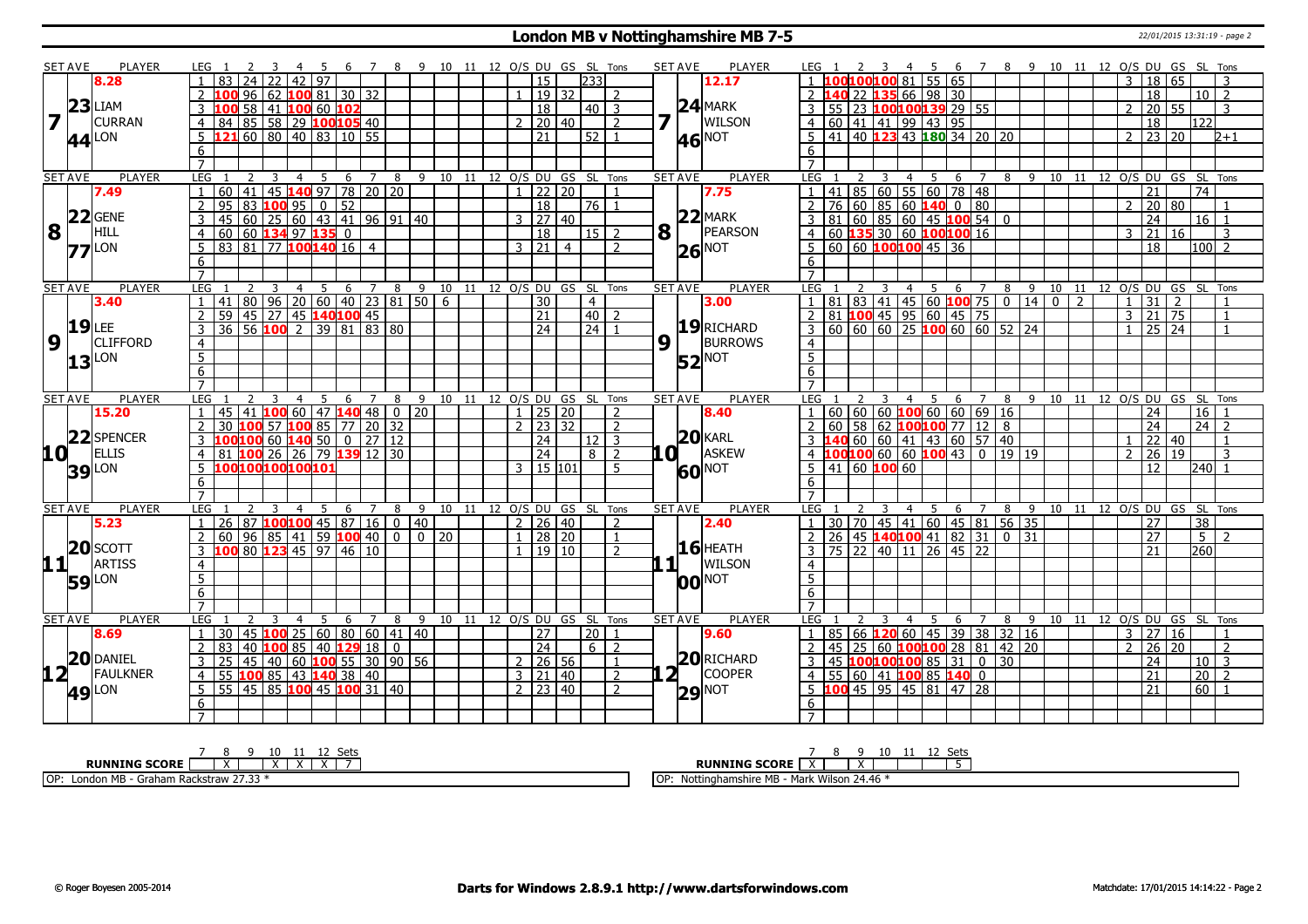#### **London MB v Nottinghamshire MB 7-5** 22/01/2015 13:31:19 - page 2

|                         | <b>SET AVE</b> | <b>PLAYER</b>                | LEG 1               |                                           |                 | -3                                                | -4             | - 5  |                |   | 67             | - 8            |                             |                           |  |              |                      |                | 9 10 11 12 O/S DU GS SL Tons |                |   | SET AVE        | <b>PLAYER</b>            | LEG 1                            |                                                 | 2 3            |                | 45  |                                   |                                                               |   |     | 6 7 8 9 10 11 12 O/S DU GS SL Tons                  |  |                |                 |                 |                  |                            |                |
|-------------------------|----------------|------------------------------|---------------------|-------------------------------------------|-----------------|---------------------------------------------------|----------------|------|----------------|---|----------------|----------------|-----------------------------|---------------------------|--|--------------|----------------------|----------------|------------------------------|----------------|---|----------------|--------------------------|----------------------------------|-------------------------------------------------|----------------|----------------|-----|-----------------------------------|---------------------------------------------------------------|---|-----|-----------------------------------------------------|--|----------------|-----------------|-----------------|------------------|----------------------------|----------------|
|                         |                | 8.28                         |                     | 83                                        | 24              |                                                   | 42             | l 97 |                |   |                |                |                             |                           |  |              | 15                   |                | 233                          |                |   |                | 12.17                    |                                  |                                                 |                |                |     | 100100100 81 55 65                |                                                               |   |     |                                                     |  | 3              |                 | 18 65           |                  |                            |                |
|                         |                |                              |                     |                                           | 96 62           |                                                   |                |      | $100$ 81 30 32 |   |                |                |                             |                           |  |              |                      | 19 32          |                              | 2              |   |                |                          |                                  |                                                 |                |                |     | L40 22 135 66 98 30               |                                                               |   |     |                                                     |  |                | 18              |                 |                  | $10$   2                   |                |
|                         |                | $23$ LIAM                    | $\overline{3}$      |                                           | $\overline{58}$ | 41 100 60 102                                     |                |      |                |   |                |                |                             |                           |  |              | $\overline{18}$      |                | $40$   3                     |                |   |                | $24$ MARK                |                                  |                                                 |                |                |     |                                   | $3   55   23$ 100100139 29 55                                 |   |     |                                                     |  | $\mathcal{P}$  |                 | 20 55           |                  |                            | 3              |
| $\overline{\mathbf{z}}$ |                | <b>CURRAN</b>                | $\overline{4}$      | 84                                        |                 | 85 58 29 100105 40                                |                |      |                |   |                |                |                             |                           |  |              | $2 \mid 20 \mid 40$  |                |                              | $\overline{2}$ | 7 |                | WILSON                   |                                  |                                                 |                |                |     | 4 60 41 41 99 43 95               |                                                               |   |     |                                                     |  |                | $\overline{18}$ |                 | $\overline{122}$ |                            |                |
|                         |                | <b>LON</b>                   | 5                   |                                           |                 | 60   80   40   83   10   55                       |                |      |                |   |                |                |                             |                           |  |              | 21                   |                | 52                           | $\overline{1}$ |   |                |                          |                                  |                                                 |                |                |     |                                   | $\frac{1}{5}$   41   40 <b>123</b> 43 <b>180</b> 34   20   20 |   |     |                                                     |  | $\overline{2}$ | $\overline{23}$ | $\overline{20}$ |                  |                            | D+1            |
|                         | 44             |                              | $6\overline{6}$     |                                           |                 |                                                   |                |      |                |   |                |                |                             |                           |  |              |                      |                |                              |                |   |                | <b>46 NOT</b>            | 6                                |                                                 |                |                |     |                                   |                                                               |   |     |                                                     |  |                |                 |                 |                  |                            |                |
|                         |                |                              | $\overline{7}$      |                                           |                 |                                                   |                |      |                |   |                |                |                             |                           |  |              |                      |                |                              |                |   |                |                          | $\overline{7}$                   |                                                 |                |                |     |                                   |                                                               |   |     |                                                     |  |                |                 |                 |                  |                            |                |
|                         | <b>SET AVE</b> | <b>PLAYER</b>                | <b>LEG</b>          | $\overline{1}$                            | 2               | $\overline{3}$                                    | $\overline{4}$ | 5    |                |   | 6 7            | 8              |                             |                           |  |              |                      |                | 9 10 11 12 O/S DU GS SL Tons |                |   | <b>SET AVE</b> | <b>PLAYER</b>            | LEG                              |                                                 | 2 <sup>3</sup> |                | 4 5 |                                   | 6 7                                                           |   |     | 8 9 10 11 12 O/S DU GS SL Tons                      |  |                |                 |                 |                  |                            |                |
|                         |                | 7.49                         | $\mathbf{1}$        | 60                                        | 41              | 45 140 97 78 20 20                                |                |      |                |   |                |                |                             |                           |  |              | 22 20                |                |                              |                |   |                | 7.75                     |                                  |                                                 |                |                |     |                                   | 1  41  85  60  55  60  78  48                                 |   |     |                                                     |  |                | $\overline{21}$ |                 | 74               |                            |                |
|                         |                |                              | $\overline{2}$      | 95                                        | $\overline{83}$ | $100$ 95 0 52                                     |                |      |                |   |                |                |                             |                           |  |              | $\overline{18}$      |                | 76 1                         |                |   |                |                          |                                  |                                                 |                |                |     |                                   | $2 \mid 76 \mid 60 \mid 85 \mid 60$ 140 0 80                  |   |     |                                                     |  | 2              |                 | 20 80           |                  |                            |                |
|                         |                | $22$ GENE                    | 3                   | 45                                        | 60              | $\vert$ 25 60 43 41 96 91 40                      |                |      |                |   |                |                |                             |                           |  |              | 3   27   40          |                |                              |                |   |                | $22$ MARK                | 3                                |                                                 |                |                |     |                                   | $ 81 $ 60   85   60   45 <b>100</b> 54   0                    |   |     |                                                     |  |                | 24              |                 |                  | $16$   1                   |                |
| 8                       |                | HILL                         | $\overline{4}$      | $60 \mid 60$ 134 97 135 0                 |                 |                                                   |                |      |                |   |                |                |                             |                           |  |              | 18                   |                | $15$   2                     |                | 8 |                | PEARSON                  |                                  |                                                 |                |                |     |                                   | $4 60 $ 135 30 60 100 100 16                                  |   |     |                                                     |  | 3              | 21              | l 16            |                  |                            | 3              |
|                         |                |                              |                     | $83 81 77$ 100 140 16 4                   |                 |                                                   |                |      |                |   |                |                |                             |                           |  |              | 3 21                 |                |                              | $\overline{z}$ |   |                |                          |                                  |                                                 |                |                |     | 5   60   60   100   100   45   36 |                                                               |   |     |                                                     |  |                | 18              |                 |                  | l100 2                     |                |
|                         |                | <b>77</b> LON                | 5                   |                                           |                 |                                                   |                |      |                |   |                |                |                             |                           |  |              |                      | $\overline{4}$ |                              |                |   |                | $26$ <sup>NOT</sup>      |                                  |                                                 |                |                |     |                                   |                                                               |   |     |                                                     |  |                |                 |                 |                  |                            |                |
|                         |                |                              | 6<br>$\overline{7}$ |                                           |                 |                                                   |                |      |                |   |                |                |                             |                           |  |              |                      |                |                              |                |   |                |                          | 6<br>$\overline{7}$              |                                                 |                |                |     |                                   |                                                               |   |     |                                                     |  |                |                 |                 |                  |                            |                |
|                         |                | <b>PLAYER</b>                | LEG                 |                                           |                 | 3                                                 |                |      |                |   |                |                | $6 \quad 7 \quad 8 \quad 9$ |                           |  |              |                      |                | 10 11 12 O/S DU GS SL Tons   |                |   | <b>SET AVE</b> | <b>PLAYER</b>            | LEG                              |                                                 |                | $4^{\circ}$    | 5   |                                   |                                                               |   |     | $8 \quad 9 \quad 10$                                |  |                |                 |                 |                  | 11 12 0/S DU GS SL Tons    |                |
|                         | <b>SET AVE</b> | 3.40                         | $\overline{1}$      | 41                                        |                 |                                                   | $\overline{4}$ | 5    |                |   |                |                |                             | 80 96 20 60 40 23 81 50 6 |  |              | $\overline{30}$      |                | $\overline{4}$               |                |   |                | 3.00                     |                                  |                                                 |                |                |     |                                   | 6 7                                                           |   |     | $1 \ 81 \ 83 \ 41 \ 45 \ 60$ <b>100</b> 75 0 14 0 2 |  | $\overline{1}$ | $\overline{31}$ | $\overline{2}$  |                  |                            |                |
|                         |                |                              | 2                   | 59                                        | $45 \mid 27$    |                                                   |                |      | 45 140 100 45  |   |                |                |                             |                           |  |              | $\overline{21}$      |                | $\boxed{40}$ 2               |                |   |                |                          |                                  |                                                 |                |                |     |                                   | 2 81 100 45 95 60 45 75                                       |   |     |                                                     |  | $\overline{3}$ | $\overline{21}$ | 75              |                  |                            | $\mathbf{1}$   |
|                         | $19$ LEE       |                              | 3                   | $36 \mid 56$ 100 2 39 81 83 80            |                 |                                                   |                |      |                |   |                |                |                             |                           |  |              | $\overline{24}$      |                | $\sqrt{24}$ 1                |                |   |                | 19 RICHARD               |                                  |                                                 |                |                |     |                                   | $3   60   60   60   25   100   60   60   52   24$             |   |     |                                                     |  |                |                 | $1 \ 25 \ 24$   |                  |                            | $\mathbf{1}$   |
| $\overline{9}$          |                | <b>CLIFFORD</b>              |                     |                                           |                 |                                                   |                |      |                |   |                |                |                             |                           |  |              |                      |                |                              |                |   | 9 1            | <b>BURROWS</b>           |                                  |                                                 |                |                |     |                                   |                                                               |   |     |                                                     |  |                |                 |                 |                  |                            |                |
|                         |                |                              | 4<br>$\overline{5}$ |                                           |                 |                                                   |                |      |                |   |                |                |                             |                           |  |              |                      |                |                              |                |   |                |                          | $\overline{4}$<br>$\overline{5}$ |                                                 |                |                |     |                                   |                                                               |   |     |                                                     |  |                |                 |                 |                  |                            |                |
|                         | 13             | LON                          |                     |                                           |                 |                                                   |                |      |                |   |                |                |                             |                           |  |              |                      |                |                              |                |   |                | <b>52</b> <sup>NOT</sup> | 6                                |                                                 |                |                |     |                                   |                                                               |   |     |                                                     |  |                |                 |                 |                  |                            |                |
|                         |                |                              | 6<br>$\overline{7}$ |                                           |                 |                                                   |                |      |                |   |                |                |                             |                           |  |              |                      |                |                              |                |   |                |                          |                                  |                                                 |                |                |     |                                   |                                                               |   |     |                                                     |  |                |                 |                 |                  |                            |                |
|                         | <b>SET AVE</b> | <b>PLAYER</b>                | <b>LEG</b>          |                                           |                 |                                                   | $\overline{4}$ | 5    |                | 6 | $\overline{7}$ | 8              | 9                           |                           |  |              |                      |                | 10 11 12 O/S DU GS SL Tons   |                |   | <b>SET AVE</b> | <b>PLAYER</b>            | LEG                              |                                                 |                | $\overline{4}$ | 5   |                                   | 6 7                                                           |   | 8 9 |                                                     |  |                |                 |                 |                  | 10 11 12 0/S DU GS SL Tons |                |
|                         |                |                              |                     |                                           |                 |                                                   |                |      |                |   |                |                |                             |                           |  |              |                      |                |                              |                |   |                | 8.40                     |                                  | 60   60   60 <mark>100</mark> 60   60   69   16 |                |                |     |                                   |                                                               |   |     |                                                     |  |                |                 |                 |                  | 16                         |                |
|                         |                |                              |                     |                                           |                 |                                                   |                |      |                |   |                |                |                             |                           |  |              |                      |                |                              |                |   |                |                          |                                  |                                                 |                |                |     |                                   |                                                               |   |     |                                                     |  |                |                 |                 |                  |                            |                |
|                         |                | 15.20                        |                     | 45                                        | 41              | 100 60 47 140 48                                  |                |      |                |   |                |                | $0$ 20                      |                           |  |              | 25 20                |                |                              | 2              |   |                |                          |                                  |                                                 |                |                |     |                                   |                                                               |   |     |                                                     |  |                | $\overline{24}$ |                 |                  |                            |                |
|                         |                |                              | $\overline{2}$      | 30                                        |                 | 100 57 100 85 77 20 32                            |                |      |                |   |                |                |                             |                           |  |              | $2$   23   32        |                |                              | $\overline{2}$ |   |                |                          | 2                                |                                                 |                |                |     |                                   | $60$ 58 62 100100 77 12 8                                     |   |     |                                                     |  |                | $\overline{24}$ |                 |                  | $\overline{24}$ 2          |                |
|                         |                | 22 SPENCER                   | 3                   | nn)                                       |                 |                                                   |                |      |                |   |                |                |                             |                           |  |              | 24                   |                | $12$ 3                       |                |   |                | $20$ <b>KARL</b>         |                                  |                                                 |                |                |     |                                   | 3 140 60 60 41 43 60 57 40                                    |   |     |                                                     |  |                |                 | 22   40         |                  |                            | $\mathbf{1}$   |
| <b>10</b>               |                | <b>ELLIS</b>                 | $\overline{4}$      | 81                                        |                 | 0 100 60 140 50 0 27 12<br>100 26 26 79 139 12 30 |                |      |                |   |                |                |                             |                           |  |              | $\overline{24}$      |                | $8 \mid 2$                   |                |   | .O I           | <b>ASKEW</b>             |                                  |                                                 |                |                |     |                                   | 4 100100 60 60 100 43 0 19 19                                 |   |     |                                                     |  | $\overline{2}$ |                 | 26 19           |                  |                            | 3              |
|                         |                | <b>39</b> LON                | $5\overline{)}$     | 100100100100101                           |                 |                                                   |                |      |                |   |                |                |                             |                           |  |              | $3 \mid 15 \mid 101$ |                |                              | 5              |   |                | <b>60</b> <sup>NOT</sup> |                                  | $5 \mid 41 \mid 60 \mid 100 \mid 60$            |                |                |     |                                   |                                                               |   |     |                                                     |  |                | 12              |                 |                  | l240l 1                    |                |
|                         |                |                              | 6                   |                                           |                 |                                                   |                |      |                |   |                |                |                             |                           |  |              |                      |                |                              |                |   |                |                          | 6                                |                                                 |                |                |     |                                   |                                                               |   |     |                                                     |  |                |                 |                 |                  |                            |                |
|                         |                |                              | $\overline{7}$      |                                           |                 |                                                   |                |      |                |   |                |                |                             |                           |  |              |                      |                |                              |                |   |                |                          | $\overline{7}$                   |                                                 |                |                |     |                                   |                                                               |   |     |                                                     |  |                |                 |                 |                  |                            |                |
|                         | <b>SET AVE</b> | <b>PLAYER</b>                | <b>LEG</b>          |                                           |                 | 3                                                 | $\overline{4}$ | -5   | 6              |   | 7              | 8              | 9                           |                           |  |              |                      |                | 10 11 12 O/S DU GS SL Tons   |                |   | <b>SET AVE</b> | <b>PLAYER</b>            | LEG                              |                                                 |                | $\overline{4}$ | 5   | - 6                               | $\overline{7}$                                                |   |     | 8 9 10 11 12 O/S DU GS SL Tons                      |  |                |                 |                 |                  |                            |                |
|                         |                | 5.23                         | $\overline{1}$      | 26                                        | 87              | $100100$ 45 87                                    |                |      |                |   | 16             |                | $0 \mid 40$                 |                           |  |              | $2 \mid 26 \mid 40$  |                |                              | 2              |   |                | 2.40                     |                                  |                                                 |                |                |     |                                   | 1 30 70 45 41 60 45 81 56 35                                  |   |     |                                                     |  |                | $\overline{27}$ |                 | 38               |                            | $\overline{2}$ |
|                         |                |                              | 2                   | 60   96   85   41   59   100   40         |                 |                                                   |                |      |                |   |                | 0 <sup>1</sup> |                             | $0$ 20                    |  | $\mathbf{1}$ | 28 20                |                |                              | $\overline{1}$ |   |                |                          |                                  |                                                 |                |                |     |                                   | 2   26   45   140 100   41   82   31   0   31                 |   |     |                                                     |  |                | $\overline{27}$ |                 |                  | 5 <sup>7</sup>             |                |
|                         |                |                              | 3                   |                                           | $\overline{80}$ | 123 45 97 46                                      |                |      |                |   | 10             |                |                             |                           |  |              |                      | 19 10          |                              | 2              |   |                | $16$ HEATH               |                                  |                                                 |                |                |     |                                   | 3 75 22 40 11 26 45 22                                        |   |     |                                                     |  |                | 21              |                 |                  | 260                        |                |
|                         |                |                              | 4                   |                                           |                 |                                                   |                |      |                |   |                |                |                             |                           |  |              |                      |                |                              |                |   | 111            | WILSON                   | 4                                |                                                 |                |                |     |                                   |                                                               |   |     |                                                     |  |                |                 |                 |                  |                            |                |
|                         |                | $120$ SCOTT<br><b>59</b> LON | $\overline{5}$      |                                           |                 |                                                   |                |      |                |   |                |                |                             |                           |  |              |                      |                |                              |                |   |                | <b>00</b> <sup>NOT</sup> | $\overline{5}$                   |                                                 |                |                |     |                                   |                                                               |   |     |                                                     |  |                |                 |                 |                  |                            |                |
|                         |                |                              | 6                   |                                           |                 |                                                   |                |      |                |   |                |                |                             |                           |  |              |                      |                |                              |                |   |                |                          | 6                                |                                                 |                |                |     |                                   |                                                               |   |     |                                                     |  |                |                 |                 |                  |                            |                |
|                         |                |                              | $\overline{7}$      |                                           |                 |                                                   |                |      |                |   |                |                |                             |                           |  |              |                      |                |                              |                |   |                |                          | $\overline{7}$                   |                                                 |                |                |     |                                   |                                                               |   |     |                                                     |  |                |                 |                 |                  |                            |                |
|                         | <b>SET AVE</b> | PLAYER                       | LEG                 |                                           |                 | 3                                                 | $\overline{4}$ | -5   | -6             |   | 7              | 8              |                             |                           |  |              |                      |                | 9 10 11 12 O/S DU GS SL Tons |                |   | <b>SET AVE</b> | <b>PLAYER</b>            | LEG                              |                                                 |                | $\overline{4}$ | -5  | 6                                 | $\overline{7}$                                                | 8 |     | 9 10 11 12 O/S DU GS SL Tons                        |  |                |                 |                 |                  |                            |                |
|                         |                | 8.69                         | $\overline{1}$      | 30                                        |                 | $45$ <b>100</b> 25 60 80 60 41 40                 |                |      |                |   |                |                |                             |                           |  |              | $\overline{27}$      |                | 20   1                       |                |   |                | 9.60                     |                                  |                                                 |                |                |     |                                   | $1   85   66   120   60   45   39   38   32   16$             |   |     |                                                     |  | $\overline{3}$ | $\overline{27}$ | $\overline{16}$ |                  |                            |                |
|                         |                |                              | $\overline{2}$      | $\overline{83}$                           | 40              | 100 85 40 129 18                                  |                |      |                |   |                | $\mathbf{0}$   |                             |                           |  |              | $\overline{24}$      |                | $6 \mid 2$                   |                |   |                |                          |                                  |                                                 |                |                |     |                                   | $2   45   25   60   100   100   28   81   42   20$            |   |     |                                                     |  | 2              | $\overline{26}$ | $\overline{20}$ |                  |                            | 2              |
|                         |                | 20 DANIEL                    | 3                   | $\overline{25}$                           |                 | 45 40 60 100 55 30 90 56                          |                |      |                |   |                |                |                             |                           |  |              | $2 \mid 26 \mid 56$  |                |                              | $\mathbf{1}$   |   |                | $20$ RICHARD             |                                  |                                                 |                |                |     |                                   | $3   45   100   100   100   85   31   0   30$                 |   |     |                                                     |  |                | $\overline{24}$ |                 |                  | $10\vert 3$                |                |
|                         |                | <b>FAULKNER</b>              | $\overline{4}$      | 55                                        |                 | 100 85 43 140 38 40                               |                |      |                |   |                |                |                             |                           |  |              | $3 \mid 21 \mid 40$  |                |                              | $\overline{2}$ |   |                | <b>COOPER</b>            |                                  |                                                 |                |                |     |                                   | $4$   55   60   41   100 85 140 0                             |   |     |                                                     |  |                | $\overline{21}$ |                 | $\overline{20}$  |                            | 2              |
|                         | 49             | LON                          | 5                   | $55   45   85   100   45   100   31   40$ |                 |                                                   |                |      |                |   |                |                |                             |                           |  |              | $2 \mid 23 \mid 40$  |                |                              | 2              |   |                | $29$ <sup>NOT</sup>      |                                  |                                                 |                |                |     |                                   | $5$ 100 45 95 45 81 47 28                                     |   |     |                                                     |  |                | $\overline{21}$ |                 |                  | $60$   1                   |                |
|                         |                |                              | 6<br>$\overline{7}$ |                                           |                 |                                                   |                |      |                |   |                |                |                             |                           |  |              |                      |                |                              |                |   |                |                          | 6                                |                                                 |                |                |     |                                   |                                                               |   |     |                                                     |  |                |                 |                 |                  |                            |                |

| نصب<br>∸                                                                           | ັບປະ                                                              |
|------------------------------------------------------------------------------------|-------------------------------------------------------------------|
| <b>RUNNING SCORE</b><br>$\ddot{\phantom{1}}$<br>$\sqrt{ }$                         | <b>RUNNING SCORE</b>                                              |
| 2722<br>OP.<br><b>AD</b><br>London<br>`"'' - Graham Rackstraw ∠, .ل<br><b>IVIB</b> | l OP<br>$24.46*$<br>Nottinghamshire MB -<br>- Mark<br>∴k Wilson ∶ |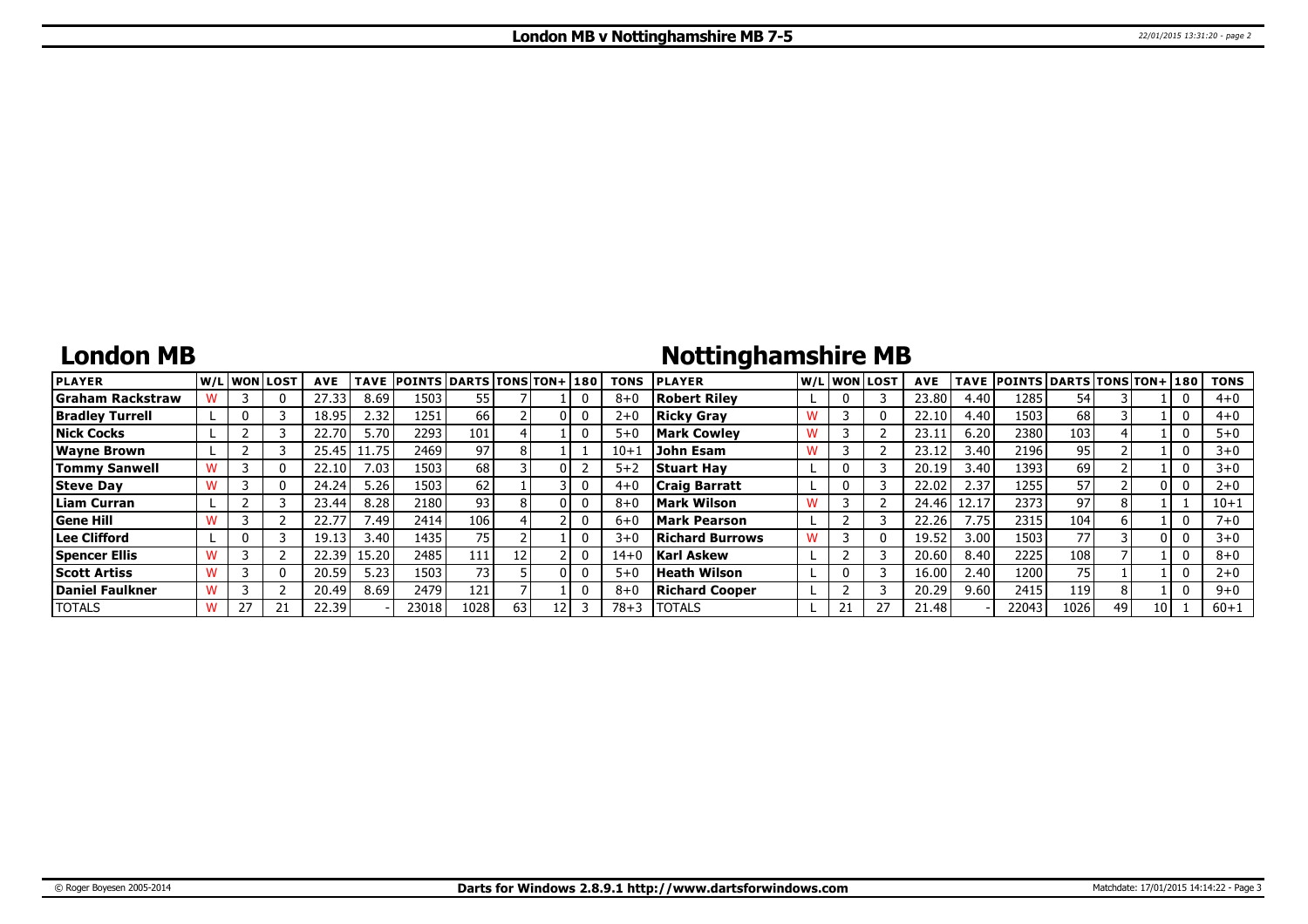## **London MB**

# **Nottinghamshire MB**

| <b>PLAYER</b>           |  | lw/Llwonllost | <b>AVE</b> | <b>TAVE</b> | <b>POINTS DARTS TONS TON+1180</b> |      |    |  | <b>TONS</b> | <b>PLAYER</b>          |  | W/L WON LOST | <b>AVE</b> |       | TAVE POINTS DARTS TONS TON+ 180 |      |    |      | <b>TONS</b> |
|-------------------------|--|---------------|------------|-------------|-----------------------------------|------|----|--|-------------|------------------------|--|--------------|------------|-------|---------------------------------|------|----|------|-------------|
| <b>Graham Rackstraw</b> |  | 0             | 27.33      | 8.69        | 1503                              | 55   |    |  | $8 + C$     | <b>Robert Rilev</b>    |  |              | 23.80      | 4.40  | 1285                            | 54   |    |      | $4 + 0$     |
| <b>Bradley Turrell</b>  |  |               | 18.95      | 2.32        | 1251                              | 66   |    |  | $2 + C$     | <b>Ricky Gray</b>      |  |              | 22.10      | 4.40  | 1503                            | 68   |    |      | $4 + 0$     |
| <b>Nick Cocks</b>       |  |               | 22.70      | 5.70        | 2293                              | 101  |    |  | $5 + 0$     | <b>Mark Cowley</b>     |  |              | 23.1       | 6.20  | 2380                            | 103  |    |      | $5 + 0$     |
| <b>Wayne Brown</b>      |  |               | 25.45      | 1.75        | 2469                              | 97   |    |  | $10 + 1$    | John Esam              |  |              | 23.1       | 3.40  | 2196                            | 95   |    |      | $3 + 0$     |
| <b>Tommy Sanwell</b>    |  | 0             | 22.10      | 7.03        | 1503                              | 68   |    |  | $5 + 2$     | <b>Stuart Hav</b>      |  |              | 20.19      | 3.40  | 1393                            | 69   |    |      | $3+0$       |
| <b>Steve Day</b>        |  | 0             | 24.24      | 5.26        | 1503                              | 62   |    |  | $4 + 0$     | <b>Craig Barratt</b>   |  |              | 22.02      | 2.37  | 1255                            | 57   |    |      | $2 + 0$     |
| <b>Liam Curran</b>      |  |               | 23.44      | 8.28        | 2180 l                            | 93   |    |  | $8 + C$     | Mark Wilson            |  |              | 24.46      | 12.17 | 2373                            | 97   |    |      | $10 + 1$    |
| <b>Gene Hill</b>        |  |               | 22.77      | /.49        | 2414                              | 106  |    |  | $6 + C$     | Mark Pearson           |  |              | 22.26      | 7.75  | 2315                            | 104  |    |      | $7 + 0$     |
| Lee Clifford            |  |               | 19.13      | 3.40        | 1435                              | 75   |    |  | $3 + C$     | <b>Richard Burrows</b> |  |              | 19.52      | 3.00  | 1503                            | 77   |    |      | $3 + 0$     |
| <b>Spencer Ellis</b>    |  |               | 22.39      | 15.20       | 2485                              | 111  |    |  | $14 + 0$    | <b>Karl Askew</b>      |  |              | 20.60      | 8.40  | 2225                            | 108  |    |      | $8 + 0$     |
| <b>Scott Artiss</b>     |  | 0             | 20.59      | 5.23        | 1503                              | 73   |    |  | $5 + 0$     | Heath Wilson           |  |              | 16.00      | 2.40  | 1200                            | 75   |    |      | $2 + 0$     |
| Daniel Faulkner         |  |               | 20.49      | 8.69        | 2479                              | 121  |    |  | $8 + C$     | <b>Richard Cooper</b>  |  |              | 20.29      | 9.60  | 2415                            | 119  |    |      | $9 + 0$     |
| <b>TOTALS</b>           |  | 21            | 22.39      |             | 23018                             | 1028 | 63 |  | 78+3        | <b>TOTALS</b>          |  |              | 21.48      |       | 22043                           | 1026 | 49 | 10 I | $60 + 1$    |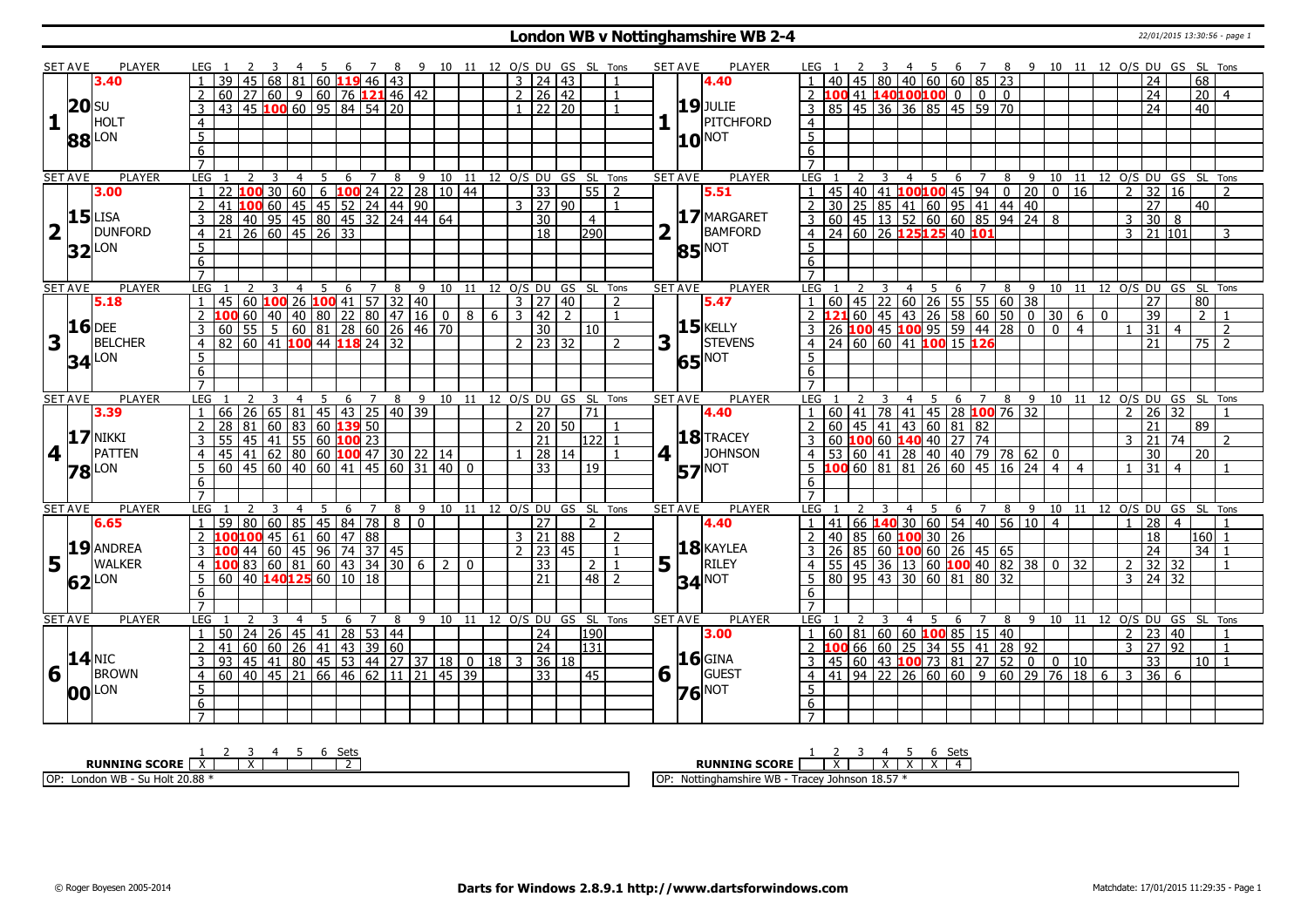### **London WB v Nottinghamshire WB 2-4** 22/01/2015 13:30:56 - page 1

| SET AVE        |                     | <b>PLAYER</b>         |                 | LEG 1           |                 |                 |             |                |                |   |                                                                                                                                                |             |                |                                 |   |               |                     |         | 4 5 6 7 8 9 10 11 12 O/S DU GS SL Tons |                |                | <b>SET AVE</b> |                 | <b>PLAYER</b>       | LEG 1            |                 |                                                                                                                                                |                |   |                |     |   |                              |   |                |                                                                 |                |                                                         |             | 4 5 6 7 8 9 10 11 12 O/S DU GS SL Tons |                          |                 |                 |                          |  |
|----------------|---------------------|-----------------------|-----------------|-----------------|-----------------|-----------------|-------------|----------------|----------------|---|------------------------------------------------------------------------------------------------------------------------------------------------|-------------|----------------|---------------------------------|---|---------------|---------------------|---------|----------------------------------------|----------------|----------------|----------------|-----------------|---------------------|------------------|-----------------|------------------------------------------------------------------------------------------------------------------------------------------------|----------------|---|----------------|-----|---|------------------------------|---|----------------|-----------------------------------------------------------------|----------------|---------------------------------------------------------|-------------|----------------------------------------|--------------------------|-----------------|-----------------|--------------------------|--|
|                |                     | 3.40                  |                 |                 |                 | 45              |             | 68 81          |                |   | 60 119 46 43                                                                                                                                   |             |                |                                 |   |               | 3   24   43         |         |                                        |                |                |                |                 | 4.40                |                  |                 |                                                                                                                                                |                |   |                |     |   | 80 40 60 60 85 23            |   |                |                                                                 |                |                                                         |             |                                        | 24                       |                 | 68              |                          |  |
|                |                     |                       |                 | 60              |                 |                 |             |                |                |   | $\left  27 \right  60 \left  9 \right  60 \left  76 \right  121 46 \left  42 \right $                                                          |             |                |                                 |   |               | 2   26   42         |         |                                        |                |                |                |                 |                     |                  |                 | 0   0   0   140 <mark>100100</mark> 0   0   0                                                                                                  |                |   |                |     |   |                              |   |                |                                                                 |                |                                                         |             |                                        | $\overline{24}$          |                 | $\overline{20}$ | $\overline{4}$           |  |
|                | <b>20</b> SU        |                       |                 | 43              |                 |                 |             |                |                |   | 45 100 60 95 84 54 20                                                                                                                          |             |                |                                 |   |               |                     | 22 20   |                                        |                |                |                |                 | <b>19</b> JULIE     |                  |                 | 85 45 36 36 85 45 59 70                                                                                                                        |                |   |                |     |   |                              |   |                |                                                                 |                |                                                         |             |                                        | 24                       |                 | 40              |                          |  |
| 1              |                     | <b>HOLT</b>           |                 |                 |                 |                 |             |                |                |   |                                                                                                                                                |             |                |                                 |   |               |                     |         |                                        |                |                |                |                 | PITCHFORD           |                  |                 |                                                                                                                                                |                |   |                |     |   |                              |   |                |                                                                 |                |                                                         |             |                                        |                          |                 |                 |                          |  |
|                |                     |                       | $\overline{4}$  |                 |                 |                 |             |                |                |   |                                                                                                                                                |             |                |                                 |   |               |                     |         |                                        |                |                |                |                 |                     | $\overline{4}$   |                 |                                                                                                                                                |                |   |                |     |   |                              |   |                |                                                                 |                |                                                         |             |                                        |                          |                 |                 |                          |  |
|                |                     | 88 LON                | $\overline{5}$  |                 |                 |                 |             |                |                |   |                                                                                                                                                |             |                |                                 |   |               |                     |         |                                        |                |                |                | 10 <sub>l</sub> | NOT                 | $\overline{5}$   |                 |                                                                                                                                                |                |   |                |     |   |                              |   |                |                                                                 |                |                                                         |             |                                        |                          |                 |                 |                          |  |
|                |                     |                       | $\overline{6}$  |                 |                 |                 |             |                |                |   |                                                                                                                                                |             |                |                                 |   |               |                     |         |                                        |                |                |                |                 |                     | 6                |                 |                                                                                                                                                |                |   |                |     |   |                              |   |                |                                                                 |                |                                                         |             |                                        |                          |                 |                 |                          |  |
|                |                     |                       | $\overline{7}$  |                 |                 |                 |             |                |                |   |                                                                                                                                                |             |                |                                 |   |               |                     |         |                                        |                |                |                |                 |                     | $\overline{7}$   |                 |                                                                                                                                                |                |   |                |     |   |                              |   |                |                                                                 |                |                                                         |             |                                        |                          |                 |                 |                          |  |
| <b>SET AVE</b> |                     | <b>PLAYER</b>         | LEG             |                 |                 | 2               | 3           | $\overline{4}$ | 5              | 6 | $7\overline{ }$                                                                                                                                | 8           |                |                                 |   |               |                     |         | 9 10 11 12 0/S DU GS SL Tons           |                |                | <b>SET AVE</b> |                 | <b>PLAYER</b>       | LEG              |                 |                                                                                                                                                |                | 3 | $\overline{4}$ | 5   | 6 | 7                            | 8 | 9              |                                                                 |                |                                                         |             | 10 11 12 O/S DU GS SL Tons             |                          |                 |                 |                          |  |
|                |                     | 3.00                  | $\mathbf{1}$    |                 |                 | $\overline{00}$ | $\sqrt{30}$ | 60             |                |   |                                                                                                                                                |             |                | $-6$ <b>100</b> 24 22 28 10 44  |   |               | $\overline{33}$     |         |                                        | $55$   2       |                |                |                 | 5.51                |                  |                 | 45 40 41 <b>100 100</b> 45 94 0 20<br>30 25 85 41 60 95 41 44 40                                                                               |                |   |                |     |   |                              |   |                |                                                                 | $\overline{0}$ | 16                                                      |             | $\overline{2}$                         | 32                       | 16              |                 | $\overline{2}$           |  |
|                |                     |                       | $\overline{2}$  | 41              |                 |                 |             |                |                |   |                                                                                                                                                |             |                |                                 |   |               | 3   27   90         |         |                                        |                | $\overline{1}$ |                |                 |                     | $\overline{2}$   |                 |                                                                                                                                                |                |   |                |     |   |                              |   |                |                                                                 |                |                                                         |             |                                        | $\overline{27}$          |                 | 40              |                          |  |
|                |                     | $15$ LISA             | $\mathbf{3}$    | $\overline{28}$ |                 |                 |             |                |                |   |                                                                                                                                                |             |                |                                 |   |               | $\overline{30}$     |         |                                        | $\overline{4}$ |                |                |                 | 17 MARGARET         |                  |                 |                                                                                                                                                |                |   |                |     |   |                              |   |                | $\overline{3}$ 60 45 13 52 60 60 85 94 24 8                     |                |                                                         |             | $\overline{3}$                         | 30                       | 8               |                 |                          |  |
| $\overline{2}$ | $\mathbf{L}$        | DUNFORD               | $\overline{4}$  | 21              |                 |                 |             |                |                |   |                                                                                                                                                |             |                |                                 |   |               | $\overline{18}$     |         | $\overline{290}$                       |                |                | 2              |                 | BAMFORD             |                  |                 | 4 24 60 26 125125 40 101                                                                                                                       |                |   |                |     |   |                              |   |                |                                                                 |                |                                                         |             |                                        | $3 \ 21 \ 101$           |                 |                 | 3                        |  |
|                |                     | $32$ LON              | $5\overline{)}$ |                 |                 |                 |             |                |                |   |                                                                                                                                                |             |                |                                 |   |               |                     |         |                                        |                |                |                | 85              | <b>NOT</b>          | 5 <sub>1</sub>   |                 |                                                                                                                                                |                |   |                |     |   |                              |   |                |                                                                 |                |                                                         |             |                                        |                          |                 |                 |                          |  |
|                |                     |                       | 6               |                 |                 |                 |             |                |                |   |                                                                                                                                                |             |                |                                 |   |               |                     |         |                                        |                |                |                |                 |                     | 6                |                 |                                                                                                                                                |                |   |                |     |   |                              |   |                |                                                                 |                |                                                         |             |                                        |                          |                 |                 |                          |  |
|                |                     |                       | $\overline{7}$  |                 |                 |                 |             |                |                |   |                                                                                                                                                |             |                |                                 |   |               |                     |         |                                        |                |                |                |                 |                     |                  |                 |                                                                                                                                                |                |   |                |     |   |                              |   |                |                                                                 |                |                                                         |             |                                        |                          |                 |                 |                          |  |
| <b>SET AVE</b> |                     | <b>PLAYER</b>         | LEG             |                 |                 |                 | 3           | $\overline{4}$ | 5              | 6 | 78                                                                                                                                             |             |                |                                 |   |               |                     |         | 9 10 11 12 O/S DU GS SL Tons           |                |                | <b>SET AVE</b> |                 | <b>PLAYER</b>       | LEG <sub>1</sub> |                 |                                                                                                                                                | $\overline{3}$ |   |                |     |   | 4 5 6 7 8                    |   | $\overline{9}$ |                                                                 |                |                                                         |             | 10 11 12 0/S DU GS SL Tons             |                          |                 |                 |                          |  |
|                |                     | 5.18                  |                 | 45              |                 |                 |             |                |                |   | 60   100   26   100   41   57   32   40                                                                                                        |             |                |                                 |   |               | 3   27   40         |         |                                        |                | $\overline{2}$ |                |                 | 5.47                |                  |                 | 0 1 45 22 1 60 26 1 55 1 55 1 60 1 38<br><b>1 21</b> 60 1 45 1 43 1 26 1 58 1 60 1 50 10<br>26 <b>1 00</b> 45 <b>1 00</b> 95 1 59 1 44 1 28 10 |                |   |                |     |   |                              |   |                |                                                                 |                |                                                         |             |                                        | 27                       |                 | 80              |                          |  |
|                |                     |                       |                 | 100             |                 |                 |             |                |                |   | 60 40 40 80 22 80 47 16 0                                                                                                                      |             |                | 8                               | 6 | $\mathcal{E}$ | $\overline{42}$     | 2       |                                        |                |                |                |                 |                     |                  |                 |                                                                                                                                                |                |   |                |     |   |                              |   |                |                                                                 | $30 \mid 6$    |                                                         | $\mathbf 0$ |                                        | $\overline{39}$          |                 | $\overline{2}$  |                          |  |
|                |                     | $16$ DEE              | 3               | 60              |                 |                 |             |                |                |   | $\overline{55}$ $\overline{5}$ $\overline{60}$ $\overline{81}$ $\overline{28}$ $\overline{60}$ $\overline{26}$ $\overline{46}$ $\overline{70}$ |             |                |                                 |   |               | 30                  |         | 10                                     |                |                |                |                 | $15$ <b>KELLY</b>   |                  |                 |                                                                                                                                                |                |   |                |     |   |                              |   |                |                                                                 | $\mathbf 0$    | $\overline{4}$                                          |             |                                        | $\overline{31}$          | $\overline{4}$  |                 | $\overline{2}$           |  |
| $\mathbf{3}$   |                     | <b>BELCHER</b>        | $\overline{4}$  | 82              |                 |                 |             |                |                |   | 60 41 100 44 118 24 32                                                                                                                         |             |                |                                 |   |               | $2$   23   32       |         |                                        |                | $\overline{2}$ | 3              |                 | STEVENS             | $\overline{4}$   |                 | 24 60 60 41 100 15 126                                                                                                                         |                |   |                |     |   |                              |   |                |                                                                 |                |                                                         |             |                                        | $\overline{21}$          |                 |                 | $75 \mid 2$              |  |
|                |                     | <b>34</b> LON         | 5               |                 |                 |                 |             |                |                |   |                                                                                                                                                |             |                |                                 |   |               |                     |         |                                        |                |                |                |                 | <b>65</b> NOT       | .5               |                 |                                                                                                                                                |                |   |                |     |   |                              |   |                |                                                                 |                |                                                         |             |                                        |                          |                 |                 |                          |  |
|                |                     |                       | 6               |                 |                 |                 |             |                |                |   |                                                                                                                                                |             |                |                                 |   |               |                     |         |                                        |                |                |                |                 |                     | 6                |                 |                                                                                                                                                |                |   |                |     |   |                              |   |                |                                                                 |                |                                                         |             |                                        |                          |                 |                 |                          |  |
|                |                     |                       | $\overline{7}$  |                 |                 |                 |             |                |                |   |                                                                                                                                                |             |                |                                 |   |               |                     |         |                                        |                |                |                |                 |                     | $\overline{7}$   |                 |                                                                                                                                                |                |   |                |     |   |                              |   |                |                                                                 |                |                                                         |             |                                        |                          |                 |                 |                          |  |
| <b>SET AVE</b> |                     | <b>PLAYER</b>         | LEG             |                 |                 |                 |             | $\overline{4}$ | 5 <sub>5</sub> |   |                                                                                                                                                |             |                |                                 |   |               |                     |         | 6 7 8 9 10 11 12 0/S DU GS SL Tons     |                |                | <b>SET AVE</b> |                 | <b>PLAYER</b>       | LEG 1            |                 |                                                                                                                                                |                | 3 | $\overline{4}$ |     |   |                              |   |                |                                                                 |                |                                                         |             | 5 6 7 8 9 10 11 12 O/S DU GS SL Tons   |                          |                 |                 |                          |  |
|                |                     | 3.39                  | $\mathbf{1}$    |                 |                 |                 |             |                |                |   | 66 26 65 81 45 43 25 40 39                                                                                                                     |             |                |                                 |   |               | 27                  |         | $\overline{21}$                        |                |                |                |                 | 4.40                |                  |                 | 60   41   78   41   45   28 <b>100</b> 76   32                                                                                                 |                |   |                |     |   |                              |   |                |                                                                 |                |                                                         |             |                                        | $2 \mid 26 \mid 32$      |                 |                 |                          |  |
|                |                     |                       | $\overline{2}$  | 28              | 81              |                 | 60          |                |                |   | $ 83 $ 60 <b>139</b> 50                                                                                                                        |             |                |                                 |   |               | $2 \mid 20 \mid 50$ |         |                                        |                | -1             |                |                 |                     |                  |                 | $60$   45   41   43   60   81   82                                                                                                             |                |   |                |     |   |                              |   |                |                                                                 |                |                                                         |             |                                        | 21                       |                 | 89              |                          |  |
|                |                     | <b>17 NIKKI</b>       | 3               | 55              |                 |                 |             |                |                |   | 45 41 55 60 100 23                                                                                                                             |             |                |                                 |   |               | $\overline{21}$     |         |                                        | 122            |                |                |                 | 18 TRACEY           |                  |                 | 60 100 60 140 40 27 74                                                                                                                         |                |   |                |     |   |                              |   |                |                                                                 |                |                                                         |             | $\mathbf{R}$                           | 21                       | 74              |                 | $\mathcal{L}$            |  |
| 4              |                     | <b>PATTEN</b>         | $\overline{4}$  | 45              |                 |                 |             |                |                |   | $41 \overline{)62} \overline{)80} \overline{)60} \overline{)100} \overline{47} \overline{)30} \overline{)22} \overline{)14}$                   |             |                |                                 |   |               |                     | 28   14 |                                        |                |                | 4 <sup>1</sup> |                 | <b>JOHNSON</b>      | 4 <sup>1</sup>   |                 |                                                                                                                                                |                |   |                |     |   |                              |   |                | 53 60 41 28 40 40 79 78 62 0                                    |                |                                                         |             |                                        | 30                       |                 | 20              |                          |  |
|                |                     |                       | 5               |                 |                 |                 |             |                |                |   | $60$ 45 60 40 60 41 45 60 31 40 0                                                                                                              |             |                |                                 |   |               | $\overline{33}$     |         | 19                                     |                |                |                |                 | <b>NOT</b>          |                  |                 | $5 \overline{100} \overline{60} \overline{81} \overline{81} \overline{26} \overline{60} \overline{45} \overline{16} \overline{24}$             |                |   |                |     |   |                              |   |                |                                                                 | $\overline{4}$ | $\overline{4}$                                          |             |                                        | 31                       | $\overline{4}$  |                 |                          |  |
|                |                     | <b>78</b> LON         | $6\overline{6}$ |                 |                 |                 |             |                |                |   |                                                                                                                                                |             |                |                                 |   |               |                     |         |                                        |                |                |                | 57              |                     | 6                |                 |                                                                                                                                                |                |   |                |     |   |                              |   |                |                                                                 |                |                                                         |             |                                        |                          |                 |                 |                          |  |
|                |                     |                       | $\overline{7}$  |                 |                 |                 |             |                |                |   |                                                                                                                                                |             |                |                                 |   |               |                     |         |                                        |                |                |                |                 |                     |                  |                 |                                                                                                                                                |                |   |                |     |   |                              |   |                |                                                                 |                |                                                         |             |                                        |                          |                 |                 |                          |  |
| <b>SET AVE</b> |                     | <b>PLAYER</b>         | LEG             |                 |                 |                 |             | 4              |                | 6 |                                                                                                                                                | 8           |                |                                 |   |               |                     |         | 9 10 11 12 O/S DU GS SL Tons           |                |                | <b>SET AVE</b> |                 | <b>PLAYER</b>       | LEG              |                 |                                                                                                                                                |                |   | 4              | - 5 |   | 6 7                          |   |                |                                                                 |                |                                                         |             | 8 9 10 11 12 O/S DU GS SL              |                          |                 |                 | Tons                     |  |
|                |                     | 6.65                  |                 | 59              | $\overline{80}$ |                 |             |                |                |   | 60   85   45   84   78                                                                                                                         | $\boxed{8}$ | $\overline{0}$ |                                 |   |               | 27                  |         |                                        | $\mathcal{P}$  |                |                |                 | 4.40                |                  | 41              |                                                                                                                                                |                |   |                |     |   |                              |   |                |                                                                 |                |                                                         |             |                                        | $\overline{28}$          | $\overline{4}$  |                 |                          |  |
|                |                     |                       |                 |                 |                 |                 |             |                |                |   | <b>100</b> 45 61 60 47 88                                                                                                                      |             |                |                                 |   |               | 3   21   88         |         |                                        |                | 2              |                |                 |                     |                  |                 | 40 85 60 100 30 26                                                                                                                             |                |   |                |     |   |                              |   |                |                                                                 |                |                                                         |             |                                        | $\overline{18}$          |                 |                 | 160l 1                   |  |
|                |                     | 19 ANDREA             |                 |                 |                 | 44              |             |                |                |   |                                                                                                                                                |             |                |                                 |   |               | $2 \mid 23 \mid 45$ |         |                                        |                | $\overline{1}$ |                |                 | $18$ <b>KAYLEA</b>  |                  | $\overline{26}$ |                                                                                                                                                |                |   |                |     |   | 85 60 <b>100</b> 60 26 45 65 |   |                |                                                                 |                |                                                         |             |                                        | $\overline{24}$          |                 |                 | $34$ 1                   |  |
|                |                     | <b>WALKER</b>         | 3               |                 |                 |                 |             |                |                |   |                                                                                                                                                |             |                |                                 |   |               |                     |         |                                        |                |                |                |                 | <b>RILEY</b>        |                  |                 |                                                                                                                                                |                |   |                |     |   |                              |   |                |                                                                 |                |                                                         |             |                                        |                          |                 |                 |                          |  |
| $5\vert$       |                     |                       | $\overline{4}$  | 100             |                 |                 |             |                |                |   | <b>83</b> 60 81 60 43 34 30 6 2<br>40 <b>140 125</b> 60 10 18                                                                                  |             |                | $\Omega$                        |   |               | $ 33\rangle$        |         |                                        | $2 \mid 1$     |                |                | 5 1             |                     | 4 <sup>1</sup>   |                 |                                                                                                                                                |                |   |                |     |   |                              |   |                | 55 45 36 13 60 <b>100</b> 40 82 38 0<br>80 95 43 30 60 81 80 32 |                | 32                                                      |             |                                        | $2 \mid 32 \mid 32 \mid$ |                 |                 | $\overline{1}$           |  |
|                |                     | $62$ <sup>LON</sup>   | 5               | 60              |                 |                 |             |                |                |   |                                                                                                                                                |             |                |                                 |   |               | 21                  |         |                                        | $48$   2       |                |                |                 | $34$ <sup>NOT</sup> | 5.               |                 |                                                                                                                                                |                |   |                |     |   |                              |   |                |                                                                 |                |                                                         |             | 3                                      |                          | 24 32           |                 |                          |  |
|                |                     |                       | 6               |                 |                 |                 |             |                |                |   |                                                                                                                                                |             |                |                                 |   |               |                     |         |                                        |                |                |                |                 |                     | 6                |                 |                                                                                                                                                |                |   |                |     |   |                              |   |                |                                                                 |                |                                                         |             |                                        |                          |                 |                 |                          |  |
|                |                     |                       | $\overline{7}$  |                 |                 |                 |             |                |                |   |                                                                                                                                                |             |                |                                 |   |               |                     |         |                                        |                |                |                |                 |                     | $\overline{7}$   |                 |                                                                                                                                                |                |   |                |     |   |                              |   |                |                                                                 |                |                                                         |             |                                        |                          |                 |                 |                          |  |
| <b>SET AVE</b> |                     | PLAYER                | <b>LEG</b>      |                 |                 |                 |             |                |                | 6 | 7                                                                                                                                              | 8           |                |                                 |   |               |                     |         | 9 10 11 12 0/S DU GS SL Tons           |                |                | <b>SET AVE</b> |                 | <b>PLAYER</b>       | LEG              |                 |                                                                                                                                                |                |   | 4              |     | 6 | 7                            | 8 | - 9            |                                                                 |                | 10 11                                                   |             | 12 O/S DU GS SL Tons                   |                          |                 |                 |                          |  |
|                |                     |                       | $\mathbf{1}$    | 50              |                 |                 |             |                |                |   | 24 26 45 41 28 53 44                                                                                                                           |             |                |                                 |   |               | 24                  |         | l190 l                                 |                |                |                |                 | 3.00                |                  |                 | $1   60   81   60   60$ <b>100</b> 85   15   40                                                                                                |                |   |                |     |   |                              |   |                |                                                                 |                |                                                         |             |                                        | 2 23                     | 40              |                 | $\overline{1}$           |  |
|                |                     |                       | $\overline{2}$  | 41              |                 | 60              |             |                |                |   |                                                                                                                                                |             |                |                                 |   |               | $\overline{24}$     |         | 131                                    |                |                |                |                 |                     |                  |                 | 2 100 66 60 25 34 55 41 28 92                                                                                                                  |                |   |                |     |   |                              |   |                |                                                                 |                |                                                         |             |                                        | 3 27                     | $\overline{92}$ |                 | $\overline{1}$           |  |
|                | $14$ <sub>NIC</sub> |                       | 3               | 93              |                 |                 |             |                |                |   |                                                                                                                                                |             |                | 45 41 80 45 53 44 27 37 18 0 18 |   | 3             |                     | 36 18   |                                        |                |                |                |                 | <b>16</b> GINA      |                  |                 | $45 \mid 60 \mid 43$ 100 73 81 27 52 0                                                                                                         |                |   |                |     |   |                              |   |                |                                                                 | $\overline{0}$ | 10                                                      |             |                                        | $\overline{33}$          |                 | 10 <sub>1</sub> | $\overline{\phantom{0}}$ |  |
|                |                     | $6\overline{1}$ BROWN | $\overline{4}$  |                 |                 |                 |             |                |                |   | 60 40 45 21 66 46 62 11 21 45 39                                                                                                               |             |                |                                 |   |               | $\overline{33}$     |         | 45                                     |                |                | 6 <sup>1</sup> |                 | GUEST               | $\overline{4}$   |                 |                                                                                                                                                |                |   |                |     |   |                              |   |                |                                                                 |                | 41   94   22   26   60   60   9   60   29   76   18   6 |             | l 3                                    | $\overline{36}$          | -6              |                 |                          |  |
|                |                     | <b>00</b> LON         | $\overline{5}$  |                 |                 |                 |             |                |                |   |                                                                                                                                                |             |                |                                 |   |               |                     |         |                                        |                |                |                |                 | $76$ <sup>NOT</sup> | 5                |                 |                                                                                                                                                |                |   |                |     |   |                              |   |                |                                                                 |                |                                                         |             |                                        |                          |                 |                 |                          |  |
|                |                     |                       | 6               |                 |                 |                 |             |                |                |   |                                                                                                                                                |             |                |                                 |   |               |                     |         |                                        |                |                |                |                 |                     | 6                |                 |                                                                                                                                                |                |   |                |     |   |                              |   |                |                                                                 |                |                                                         |             |                                        |                          |                 |                 |                          |  |
|                |                     |                       |                 |                 |                 |                 |             |                |                |   |                                                                                                                                                |             |                |                                 |   |               |                     |         |                                        |                |                |                |                 |                     |                  |                 |                                                                                                                                                |                |   |                |     |   |                              |   |                |                                                                 |                |                                                         |             |                                        |                          |                 |                 |                          |  |
|                |                     |                       |                 |                 |                 |                 |             |                |                |   |                                                                                                                                                |             |                |                                 |   |               |                     |         |                                        |                |                |                |                 |                     |                  |                 |                                                                                                                                                |                |   |                |     |   |                              |   |                |                                                                 |                |                                                         |             |                                        |                          |                 |                 |                          |  |

| -1<br>ししい                         | Sets                                                                            |
|-----------------------------------|---------------------------------------------------------------------------------|
| <b>RUNNING SCORE</b>              | <b>RUNNING SCORE</b>                                                            |
| OP:<br>WB<br><b>Su Holt 20.88</b> | ---<br>ח הו<br>Nottinghamshire<br>Tracey<br>Johnson 18.5,<br><b>VVD</b><br>l Ul |